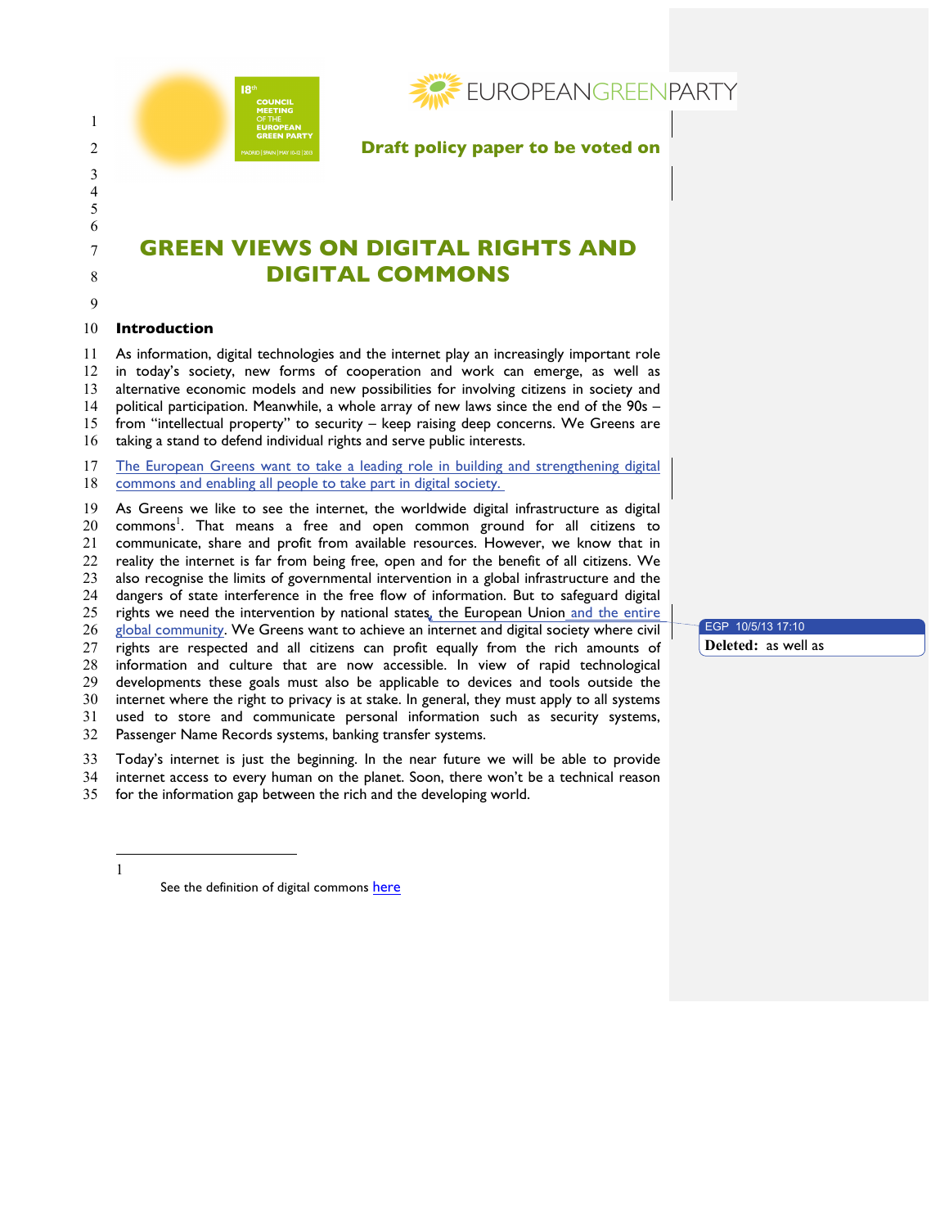

# **GREEN VIEWS ON DIGITAL RIGHTS AND DIGITAL COMMONS**

## 

## **Introduction**

 As information, digital technologies and the internet play an increasingly important role in today's society, new forms of cooperation and work can emerge, as well as alternative economic models and new possibilities for involving citizens in society and political participation. Meanwhile, a whole array of new laws since the end of the 90s –

 from "intellectual property" to security – keep raising deep concerns. We Greens are taking a stand to defend individual rights and serve public interests.

 The European Greens want to take a leading role in building and strengthening digital 18 commons and enabling all people to take part in digital society.

 As Greens we like to see the internet, the worldwide digital infrastructure as digital 20 commons<sup>1</sup>. That means a free and open common ground for all citizens to communicate, share and profit from available resources. However, we know that in reality the internet is far from being free, open and for the benefit of all citizens. We also recognise the limits of governmental intervention in a global infrastructure and the 24 dangers of state interference in the free flow of information. But to safeguard digital<br>25 rights we need the intervention by national states, the European Union and the entire rights we need the intervention by national states, the European Union and the entire global community. We Greens want to achieve an internet and digital society where civil rights are respected and all citizens can profit equally from the rich amounts of information and culture that are now accessible. In view of rapid technological developments these goals must also be applicable to devices and tools outside the internet where the right to privacy is at stake. In general, they must apply to all systems used to store and communicate personal information such as security systems,

Passenger Name Records systems, banking transfer systems.

Today's internet is just the beginning. In the near future we will be able to provide

internet access to every human on the planet. Soon, there won't be a technical reason

for the information gap between the rich and the developing world.

 $\overline{a}$ 

See the definition of digital commons here

EGP 10/5/13 17:10 **Deleted:** as well as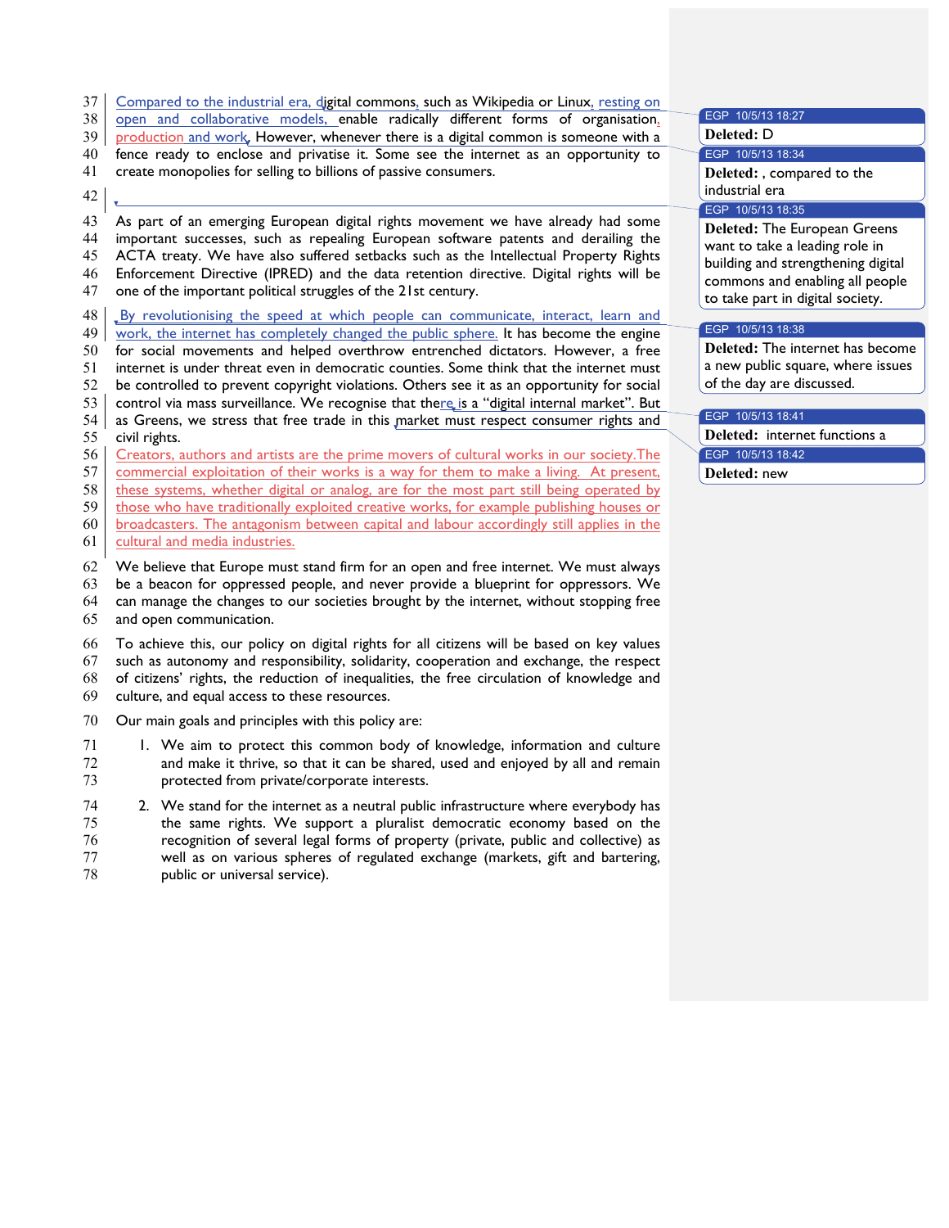|  | 37 Compared to the industrial era, digital commons, such as Wikipedia or Linux, resting on |  |  |  |
|--|--------------------------------------------------------------------------------------------|--|--|--|
|--|--------------------------------------------------------------------------------------------|--|--|--|

- 38 open and collaborative models, enable radically different forms of organisation,
- 39 production and work, However, whenever there is a digital common is someone with a
- 40 fence ready to enclose and privatise it. Some see the internet as an opportunity to
- 41 create monopolies for selling to billions of passive consumers.

## 42

 $\bar{\mathbf{v}}$ 

- 43 As part of an emerging European digital rights movement we have already had some
- 44 important successes, such as repealing European software patents and derailing the<br>45 ACTA treaty. We have also suffered setbacks such as the Intellectual Property Rights ACTA treaty. We have also suffered setbacks such as the Intellectual Property Rights
- 46 Enforcement Directive (IPRED) and the data retention directive. Digital rights will be
- 47 one of the important political struggles of the 21st century.
- 48 By revolutionising the speed at which people can communicate, interact, learn and
- 49 work, the internet has completely changed the public sphere. It has become the engine
- 50 for social movements and helped overthrow entrenched dictators. However, a free
- 51 internet is under threat even in democratic counties. Some think that the internet must
- 52 be controlled to prevent copyright violations. Others see it as an opportunity for social
- 53 control via mass surveillance. We recognise that the  $re_{\rm s}$  is a "digital internal market". But  $54$  as Greens, we stress that free trade in this market must respect consumer rights and
- as Greens, we stress that free trade in this market must respect consumer rights and 55 civil rights.
- 56 Creators, authors and artists are the prime movers of cultural works in our society.The
- 57 commercial exploitation of their works is a way for them to make a living. At present,
- 58 these systems, whether digital or analog, are for the most part still being operated by
- 59 those who have traditionally exploited creative works, for example publishing houses or
- 60 broadcasters. The antagonism between capital and labour accordingly still applies in the
- 61 cultural and media industries.
- 62 We believe that Europe must stand firm for an open and free internet. We must always 63 be a beacon for oppressed people, and never provide a blueprint for oppressors. We
- 64 can manage the changes to our societies brought by the internet, without stopping free
- 65 and open communication.
- 66 To achieve this, our policy on digital rights for all citizens will be based on key values 67 such as autonomy and responsibility, solidarity, cooperation and exchange, the respect 68 of citizens' rights, the reduction of inequalities, the free circulation of knowledge and 69 culture, and equal access to these resources.
- 70 Our main goals and principles with this policy are:
- 71 1. We aim to protect this common body of knowledge, information and culture 72 and make it thrive, so that it can be shared, used and enjoyed by all and remain 73 protected from private/corporate interests.
- 74 2. We stand for the internet as a neutral public infrastructure where everybody has 75 the same rights. We support a pluralist democratic economy based on the 76 recognition of several legal forms of property (private, public and collective) as 77 well as on various spheres of regulated exchange (markets, gift and bartering, 78 public or universal service).

79 **Deleted:** D EGP 10/5/13 18:34 80 **Deleted:** , compared to the industrial era EGP 10/5/13 18:35 **Deleted: The European Greens** want to take a leading role in building and strengthening digital commons and enabling all people to take part in digital society. EGP 10/5/13 18:38

87 **Deleted:** The internet has become a new public square, where issues of the day are discussed.

## EGP 10/5/13 18:41

EGP 10/5/13 18:27

**Deleted:** internet functions a EGP 10/5/13 18:42 Deleted: new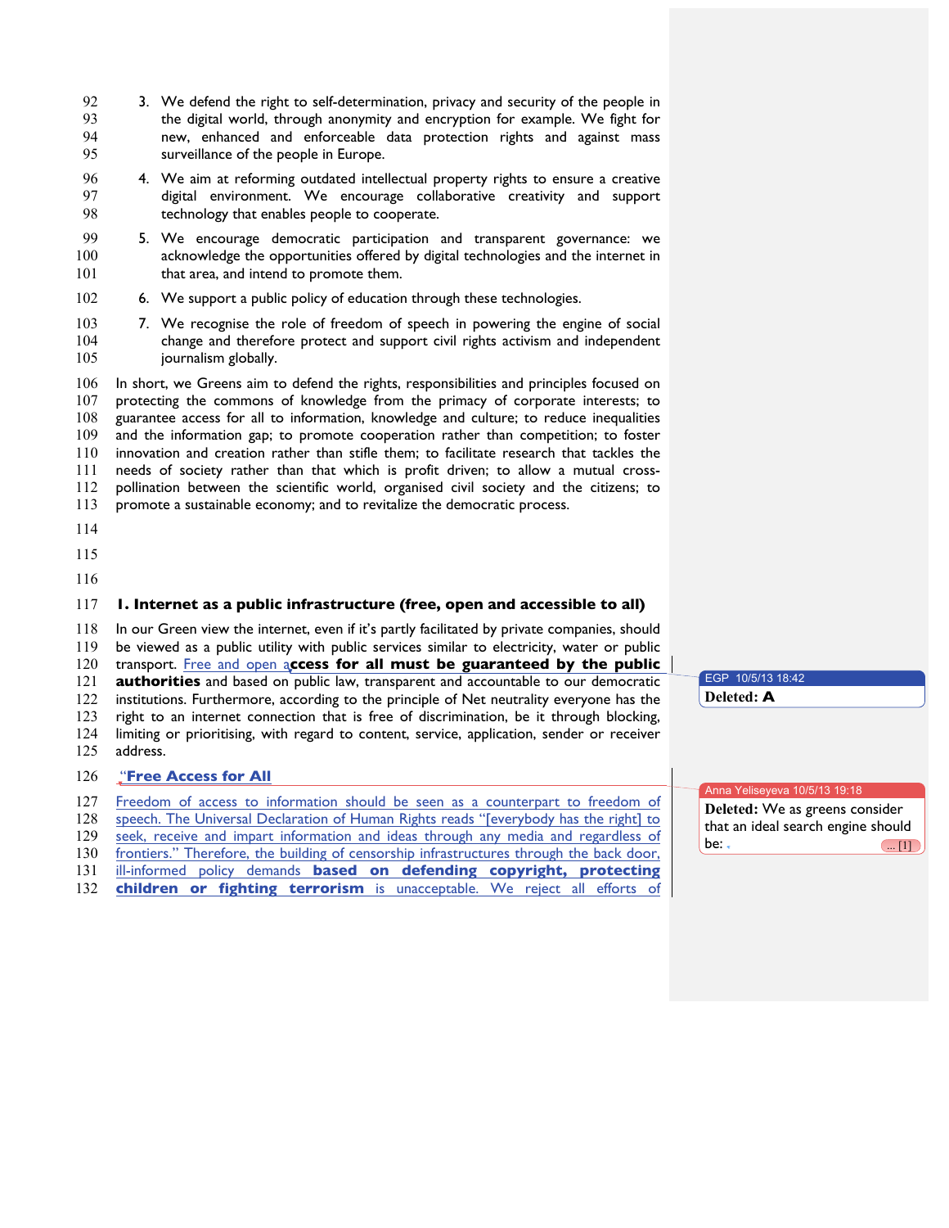- 92 3. We defend the right to self-determination, privacy and security of the people in the digital world, through anonymity and encryption for example. We fight for new, enhanced and enforceable data protection rights and against mass surveillance of the people in Europe.
- 4. We aim at reforming outdated intellectual property rights to ensure a creative digital environment. We encourage collaborative creativity and support technology that enables people to cooperate.
- 99 5. We encourage democratic participation and transparent governance: we<br>100 acknowledge the opportunities offered by digital technologies and the internet in acknowledge the opportunities offered by digital technologies and the internet in 101 that area, and intend to promote them.
- 6. We support a public policy of education through these technologies.
- 103 7. We recognise the role of freedom of speech in powering the engine of social 104 change and therefore protect and support civil rights activism and independent change and therefore protect and support civil rights activism and independent 105 journalism globally.

 In short, we Greens aim to defend the rights, responsibilities and principles focused on protecting the commons of knowledge from the primacy of corporate interests; to guarantee access for all to information, knowledge and culture; to reduce inequalities and the information gap; to promote cooperation rather than competition; to foster innovation and creation rather than stifle them; to facilitate research that tackles the needs of society rather than that which is profit driven; to allow a mutual cross- pollination between the scientific world, organised civil society and the citizens; to promote a sustainable economy; and to revitalize the democratic process.

- 
- 
- 

## **1. Internet as a public infrastructure (free, open and accessible to all)**

In our Green view the internet, even if it's partly facilitated by private companies, should

be viewed as a public utility with public services similar to electricity, water or public

transport. Free and open a**ccess for all must be guaranteed by the public**

**authorities** and based on public law, transparent and accountable to our democratic

institutions. Furthermore, according to the principle of Net neutrality everyone has the

 right to an internet connection that is free of discrimination, be it through blocking, 124 limiting or prioritising, with regard to content, service, application, sender or receiver 125 address. address.

## "**Free Access for All**

|                                                                                              | $\blacksquare$ Anna Yeliseyeva 10/5/13 19:18 |
|----------------------------------------------------------------------------------------------|----------------------------------------------|
| 127 Freedom of access to information should be seen as a counterpart to freedom of           | Deleted: We as greens consider               |
| 128 speech. The Universal Declaration of Human Rights reads "[everybody has the right] to    |                                              |
|                                                                                              | that an ideal search engine should           |
| 129 seek, receive and impart information and ideas through any media and regardless of       | be: -                                        |
| 130 frontiers." Therefore, the building of censorship infrastructures through the back door, | $\left(\ldots [1]\right)$                    |
| 131 ill-informed policy demands based on defending copyright, protecting                     |                                              |
| 122 abilylvan av fighting tannanism is unsecosited Me neight all effects of                  |                                              |

**children or fighting terrorism** is unacceptable. We reject all efforts of **i** 

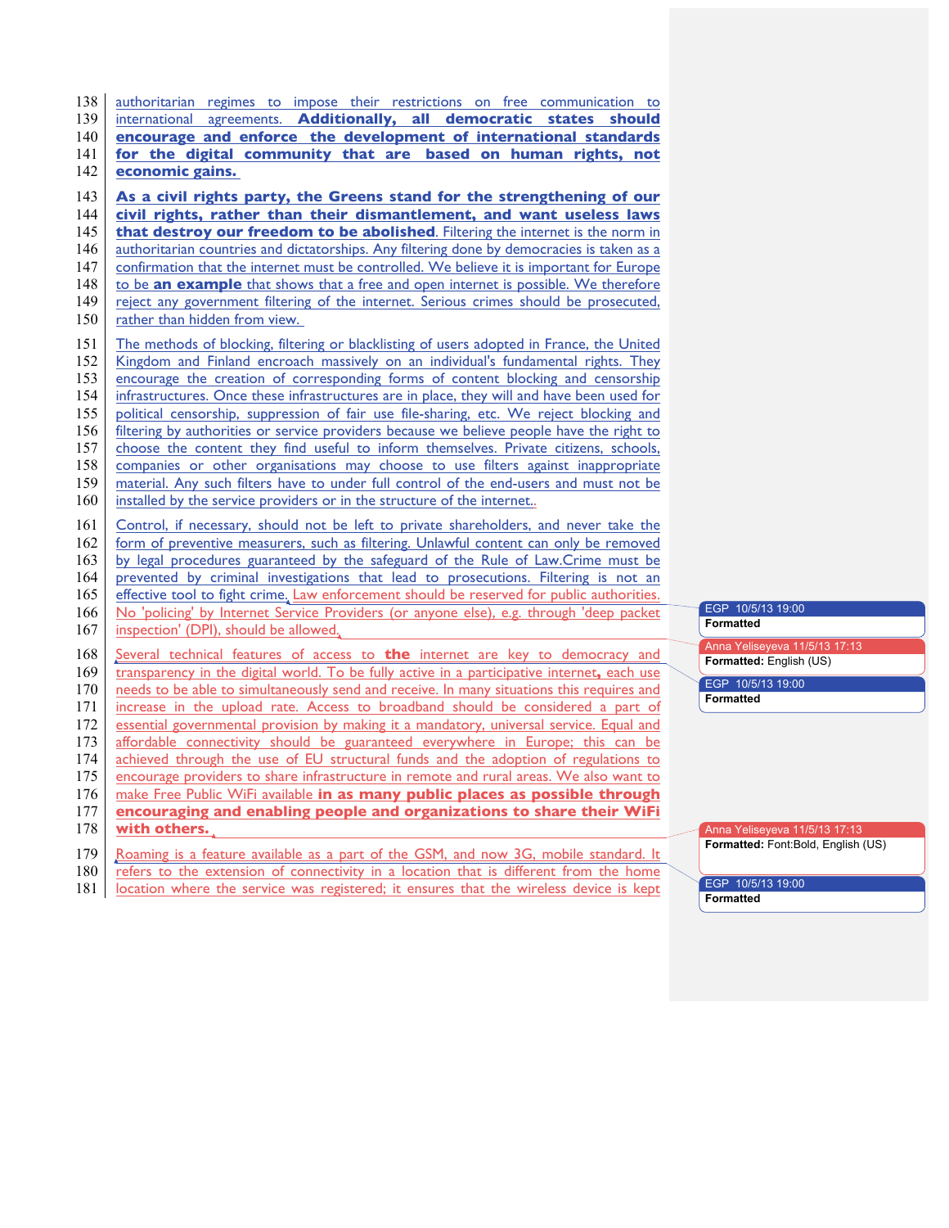international agreements. **Additionally, all democratic states should encourage and enforce the development of international standards for the digital community that are based on human rights, not economic gains. As a civil rights party, the Greens stand for the strengthening of our civil rights, rather than their dismantlement, and want useless laws that destroy our freedom to be abolished**. Filtering the internet is the norm in 146 authoritarian countries and dictatorships. Any filtering done by democracies is taken as a 147 confirmation that the internet must be controlled. We believe it is important for Europe 148 to be **an example** that shows that a free and open internet is possible. We therefore reject any government filtering of the internet. Serious crimes should be prosecuted, 150 rather than hidden from view. The methods of blocking, filtering or blacklisting of users adopted in France, the United Kingdom and Finland encroach massively on an individual's fundamental rights. They encourage the creation of corresponding forms of content blocking and censorship infrastructures. Once these infrastructures are in place, they will and have been used for political censorship, suppression of fair use file-sharing, etc. We reject blocking and filtering by authorities or service providers because we believe people have the right to 157 choose the content they find useful to inform themselves. Private citizens, schools, companies or other organisations may choose to use filters against inappropriate material. Any such filters have to under full control of the end-users and must not be 160 installed by the service providers or in the structure of the internet.. Control, if necessary, should not be left to private shareholders, and never take the form of preventive measurers, such as filtering. Unlawful content can only be removed by legal procedures guaranteed by the safeguard of the Rule of Law.Crime must be prevented by criminal investigations that lead to prosecutions. Filtering is not an 165 effective tool to fight crime. Law enforcement should be reserved for public authorities. No 'policing' by Internet Service Providers (or anyone else), e.g. through 'deep packet 167 inspection' (DPI), should be allowed. 168 Several technical features of access to **the** internet are key to democracy and transparency in the digital world. To be fully active in a participative internet**,** each use 170 needs to be able to simultaneously send and receive. In many situations this requires and 171 increase in the upload rate. Access to broadband should be considered a part of 172 essential governmental provision by making it a mandatory, universal service. Equal and essential governmental provision by making it a mandatory, universal service. Equal and affordable connectivity should be guaranteed everywhere in Europe; this can be 174 achieved through the use of EU structural funds and the adoption of regulations to 175 encourage providers to share infrastructure in remote and rural areas. We also want to encourage providers to share infrastructure in remote and rural areas. We also want to make Free Public WiFi available **in as many public places as possible through encouraging and enabling people and organizations to share their WiFi with others.**  179 | Roaming is a feature available as a part of the GSM, and now 3G, mobile standard. It 180 refers to the extension of connectivity in a location that is different from the home

138 authoritarian regimes to impose their restrictions on free communication to

181 **location where the service was registered; it ensures that the wireless device is kept** 

|                                | EGP 10/5/13 19:00             |  |
|--------------------------------|-------------------------------|--|
| <b>Formatted</b>               |                               |  |
|                                | Anna Yeliseyeva 11/5/13 17:13 |  |
| <b>Formatted:</b> English (US) |                               |  |
|                                |                               |  |
|                                | EGP 10/5/13 19:00             |  |

Anna Yeliseyeva 11/5/13 17:13

**Formatted:** Font:Bold, English (US)

EGP 10/5/13 19:00 **Formatted**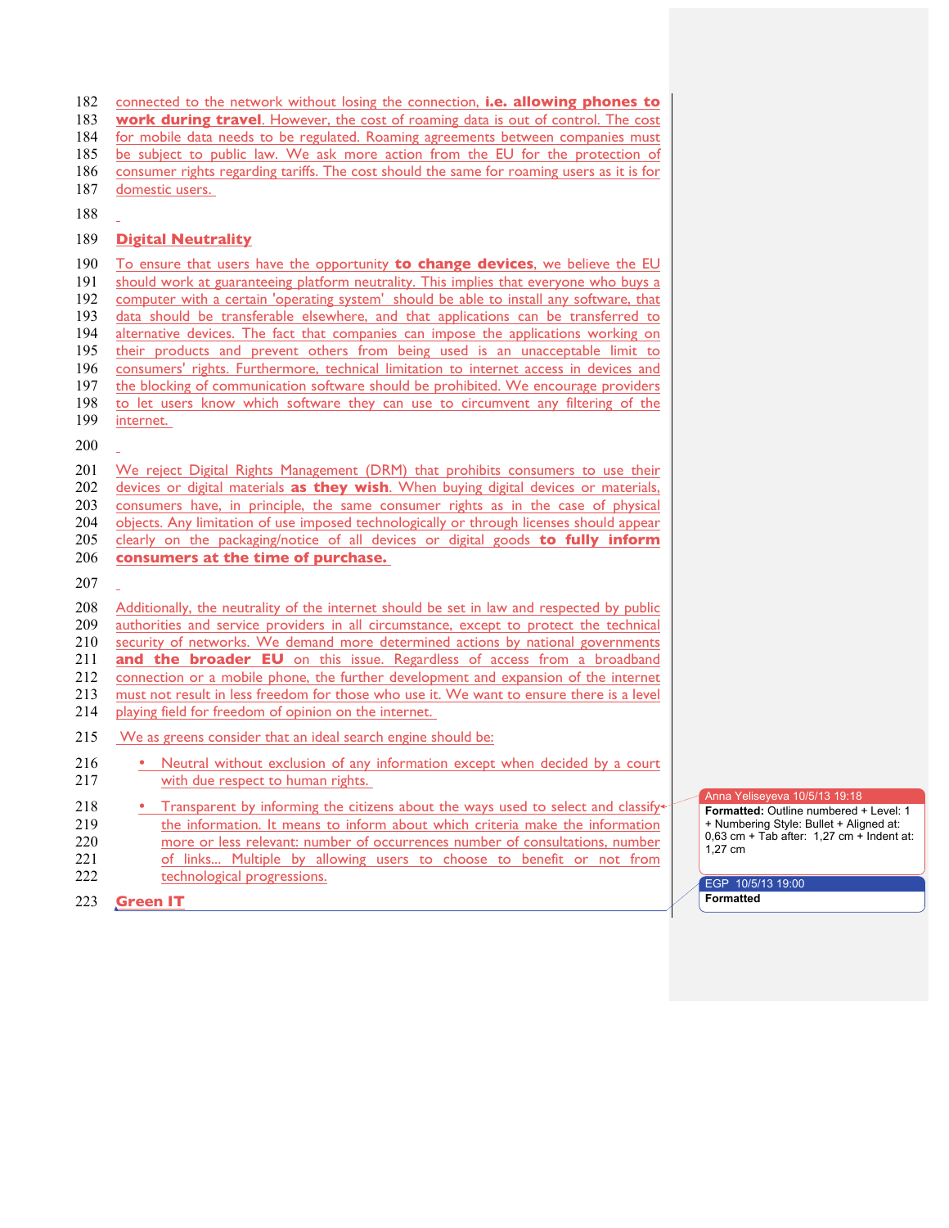connected to the network without losing the connection, **i.e. allowing phones to work during travel**. However, the cost of roaming data is out of control. The cost 184 for mobile data needs to be regulated. Roaming agreements between companies must 185 be subject to public law. We ask more action from the EU for the protection of consumer rights regarding tariffs. The cost should the same for roaming users as it is for domestic users.

## **Digital Neutrality**

 To ensure that users have the opportunity **to change devices**, we believe the EU should work at guaranteeing platform neutrality. This implies that everyone who buys a computer with a certain 'operating system' should be able to install any software, that data should be transferable elsewhere, and that applications can be transferred to 194 alternative devices. The fact that companies can impose the applications working on 195 their products and prevent others from being used is an unacceptable limit to consumers' rights. Furthermore, technical limitation to internet access in devices and 197 the blocking of communication software should be prohibited. We encourage providers to let users know which software they can use to circumvent any filtering of the internet. We reject Digital Rights Management (DRM) that prohibits consumers to use their devices or digital materials **as they wish**. When buying digital devices or materials, consumers have, in principle, the same consumer rights as in the case of physical 204 objects. Any limitation of use imposed technologically or through licenses should appear clearly on the packaging/notice of all devices or digital goods **to fully inform consumers at the time of purchase.** Additionally, the neutrality of the internet should be set in law and respected by public authorities and service providers in all circumstance, except to protect the technical security of networks. We demand more determined actions by national governments **and the broader EU** on this issue. Regardless of access from a broadband 212 connection or a mobile phone, the further development and expansion of the internet 213 must not result in less freedom for those who use it. We want to ensure there is a level must not result in less freedom for those who use it. We want to ensure there is a level playing field for freedom of opinion on the internet. We as greens consider that an ideal search engine should be: • Neutral without exclusion of any information except when decided by a court with due respect to human rights. 218 • Transparent by informing the citizens about the ways used to select and classify the information. It means to inform about which criteria make the information more or less relevant: number of occurrences number of consultations, number

 of links... Multiple by allowing users to choose to benefit or not from 222 technological progressions.

**Green IT**

Anna Yeliseyeva 10/5/13 19:18

**Formatted:** Outline numbered + Level: 1 + Numbering Style: Bullet + Aligned at:  $0,63$  cm + Tab after:  $1,27$  cm + Indent at: 1,27 cm

EGP 10/5/13 19:00 **Formatted**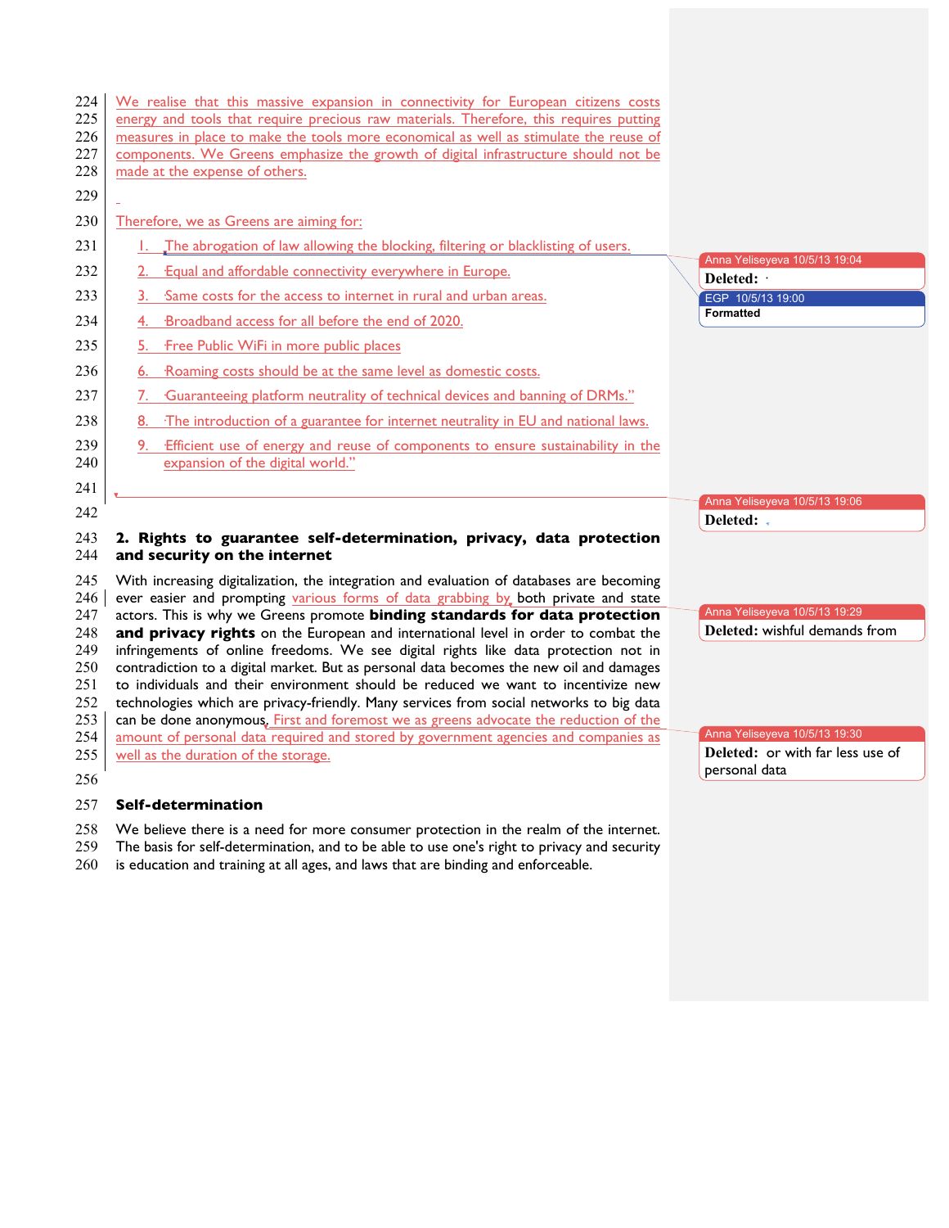| 224<br>225<br>226<br>227<br>228 | We realise that this massive expansion in connectivity for European citizens costs<br>energy and tools that require precious raw materials. Therefore, this requires putting<br>measures in place to make the tools more economical as well as stimulate the reuse of<br>components. We Greens emphasize the growth of digital infrastructure should not be<br>made at the expense of others. |                                             |
|---------------------------------|-----------------------------------------------------------------------------------------------------------------------------------------------------------------------------------------------------------------------------------------------------------------------------------------------------------------------------------------------------------------------------------------------|---------------------------------------------|
| 229                             |                                                                                                                                                                                                                                                                                                                                                                                               |                                             |
| 230                             | Therefore, we as Greens are aiming for:                                                                                                                                                                                                                                                                                                                                                       |                                             |
| 231                             | 1. The abrogation of law allowing the blocking, filtering or blacklisting of users.                                                                                                                                                                                                                                                                                                           |                                             |
| 232                             | <b>Equal and affordable connectivity everywhere in Europe.</b>                                                                                                                                                                                                                                                                                                                                | Anna Yeliseyeva 10/5/13 19:04<br>Deleted: . |
| 233                             | Same costs for the access to internet in rural and urban areas.<br>3.                                                                                                                                                                                                                                                                                                                         | EGP 10/5/13 19:00                           |
| 234                             | Broadband access for all before the end of 2020.                                                                                                                                                                                                                                                                                                                                              | <b>Formatted</b>                            |
| 235                             | Free Public WiFi in more public places<br>5.                                                                                                                                                                                                                                                                                                                                                  |                                             |
| 236                             | Roaming costs should be at the same level as domestic costs.<br>6.                                                                                                                                                                                                                                                                                                                            |                                             |
| 237                             | Guaranteeing platform neutrality of technical devices and banning of DRMs."                                                                                                                                                                                                                                                                                                                   |                                             |
| 238                             | 8.<br>The introduction of a guarantee for internet neutrality in EU and national laws.                                                                                                                                                                                                                                                                                                        |                                             |
| 239<br>240                      | Efficient use of energy and reuse of components to ensure sustainability in the<br>expansion of the digital world."                                                                                                                                                                                                                                                                           |                                             |
| 241                             |                                                                                                                                                                                                                                                                                                                                                                                               |                                             |
| 242                             |                                                                                                                                                                                                                                                                                                                                                                                               | Anna Yeliseyeva 10/5/13 19:06<br>Deleted: - |
| 243                             | 2. Rights to guarantee self-determination, privacy, data protection                                                                                                                                                                                                                                                                                                                           |                                             |

# 244 **and security on the internet** 245 With increasing digitalization, the integration and evaluation of databases are becoming

 $246$  ever easier and prompting various forms of data grabbing by both private and state 247 actors. This is why we Greens promote **binding standards for data protection** 248 **and privacy rights** on the European and international level in order to combat the 249 infringements of online freedoms. We see digital rights like data protection not in 250 contradiction to a digital market. But as personal data becomes the new oil and damages<br>251 to individuals and their environment should be reduced we want to incentivize new to individuals and their environment should be reduced we want to incentivize new 252 technologies which are privacy-friendly. Many services from social networks to big data  $253 \mid$  can be done anonymous. First and foremost we as greens advocate the reduction of the can be done anonymous. First and foremost we as greens advocate the reduction of the 254 amount of personal data required and stored by government agencies and companies as 255 well as the duration of the storage.

256

## 257 **Self-determination**

- 258 We believe there is a need for more consumer protection in the realm of the internet.
- 259 The basis for self-determination, and to be able to use one's right to privacy and security
- 260 is education and training at all ages, and laws that are binding and enforceable.

Anna Yeliseyeva 10/5/13 19:29 Deleted: wishful demands from

Anna Yeliseyeva 10/5/13 19:30 Deleted: or with far less use of personal data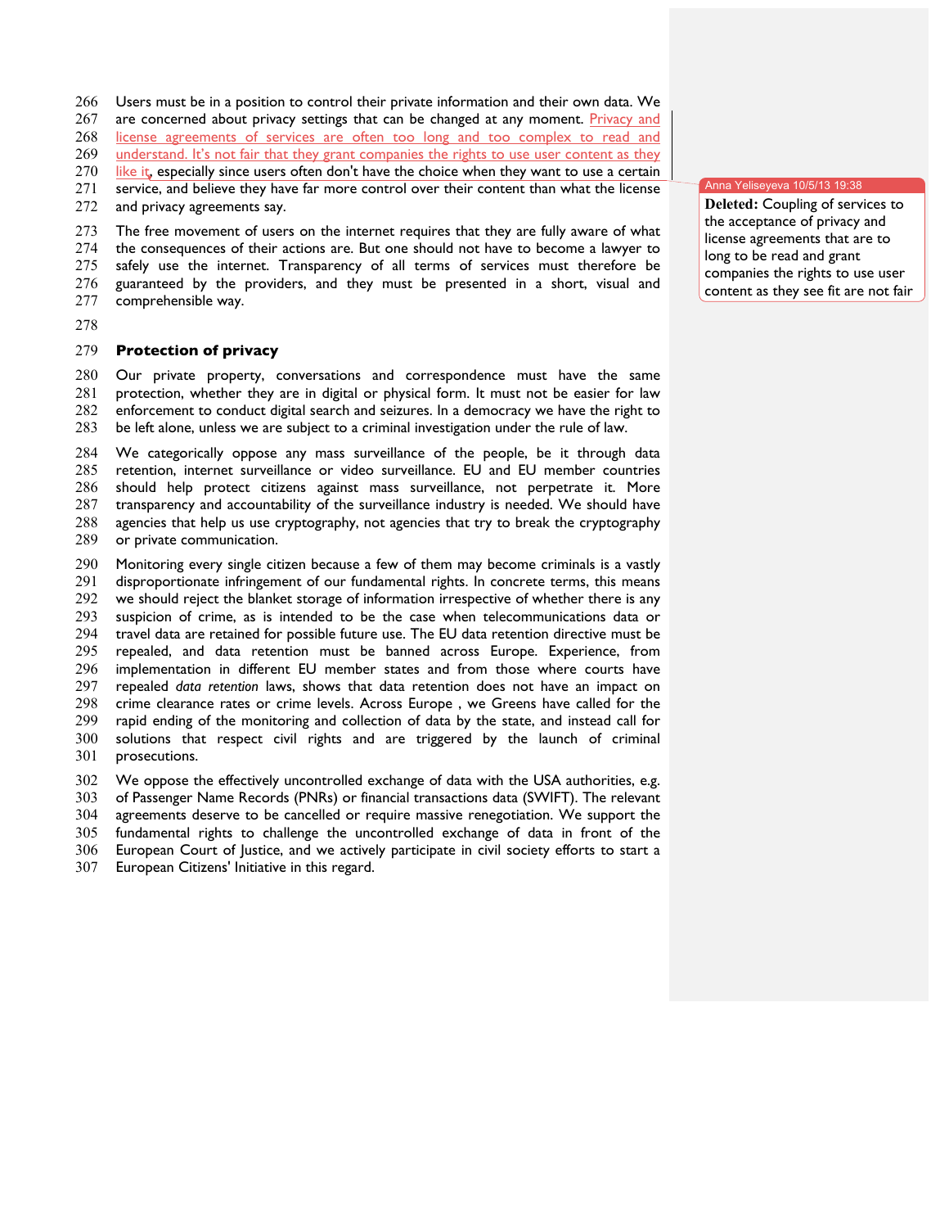Users must be in a position to control their private information and their own data. We

267 are concerned about privacy settings that can be changed at any moment. Privacy and

license agreements of services are often too long and too complex to read and

269 understand. It's not fair that they grant companies the rights to use user content as they

270 like it, especially since users often don't have the choice when they want to use a certain

271 service, and believe they have far more control over their content than what the license 272 and privacy agreements say.

and privacy agreements say.

 The free movement of users on the internet requires that they are fully aware of what the consequences of their actions are. But one should not have to become a lawyer to

safely use the internet. Transparency of all terms of services must therefore be

guaranteed by the providers, and they must be presented in a short, visual and

- comprehensible way.
- 

## **Protection of privacy**

 Our private property, conversations and correspondence must have the same protection, whether they are in digital or physical form. It must not be easier for law enforcement to conduct digital search and seizures. In a democracy we have the right to be left alone, unless we are subject to a criminal investigation under the rule of law.

 We categorically oppose any mass surveillance of the people, be it through data retention, internet surveillance or video surveillance. EU and EU member countries should help protect citizens against mass surveillance, not perpetrate it. More transparency and accountability of the surveillance industry is needed. We should have agencies that help us use cryptography, not agencies that try to break the cryptography or private communication.

 Monitoring every single citizen because a few of them may become criminals is a vastly disproportionate infringement of our fundamental rights. In concrete terms, this means we should reject the blanket storage of information irrespective of whether there is any suspicion of crime, as is intended to be the case when telecommunications data or travel data are retained for possible future use. The EU data retention directive must be repealed, and data retention must be banned across Europe. Experience, from implementation in different EU member states and from those where courts have repealed *data retention* laws, shows that data retention does not have an impact on crime clearance rates or crime levels. Across Europe , we Greens have called for the rapid ending of the monitoring and collection of data by the state, and instead call for solutions that respect civil rights and are triggered by the launch of criminal prosecutions.

 We oppose the effectively uncontrolled exchange of data with the USA authorities, e.g. of Passenger Name Records (PNRs) or financial transactions data (SWIFT). The relevant agreements deserve to be cancelled or require massive renegotiation. We support the fundamental rights to challenge the uncontrolled exchange of data in front of the European Court of Justice, and we actively participate in civil society efforts to start a

European Citizens' Initiative in this regard.

Anna Yeliseyeva 10/5/13 19:38

 **Deleted:** Coupling of services to the acceptance of privacy and license agreements that are to long to be read and grant companies the rights to use user content as they see fit are not fair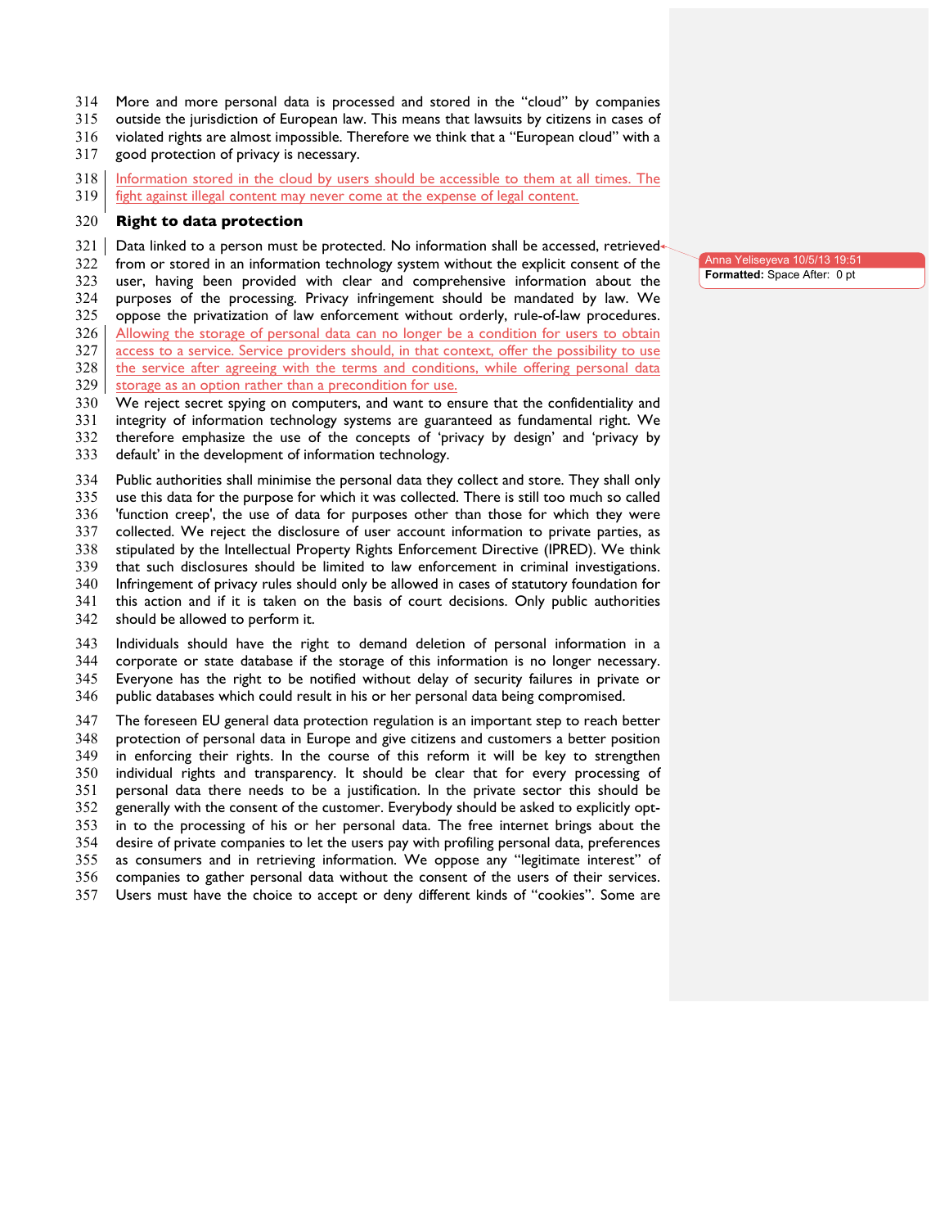- More and more personal data is processed and stored in the "cloud" by companies
- outside the jurisdiction of European law. This means that lawsuits by citizens in cases of
- violated rights are almost impossible. Therefore we think that a "European cloud" with a
- good protection of privacy is necessary.
- Information stored in the cloud by users should be accessible to them at all times. The
- 319 fight against illegal content may never come at the expense of legal content.

## **Right to data protection**

- Data linked to a person must be protected. No information shall be accessed, retrieved-<br> $322$  from or stored in an information technology system without the explicit consent of the
- from or stored in an information technology system without the explicit consent of the
- user, having been provided with clear and comprehensive information about the
- purposes of the processing. Privacy infringement should be mandated by law. We
- oppose the privatization of law enforcement without orderly, rule-of-law procedures.
- Allowing the storage of personal data can no longer be a condition for users to obtain
- 327 access to a service. Service providers should, in that context, offer the possibility to use 328 the service after agreeing with the terms and conditions, while offering personal data
- storage as an option rather than a precondition for use.<br> $330$  We reject secret spying on computers, and want to er
- We reject secret spying on computers, and want to ensure that the confidentiality and
- integrity of information technology systems are guaranteed as fundamental right. We
- therefore emphasize the use of the concepts of 'privacy by design' and 'privacy by
- default' in the development of information technology.

 Public authorities shall minimise the personal data they collect and store. They shall only use this data for the purpose for which it was collected. There is still too much so called 'function creep', the use of data for purposes other than those for which they were collected. We reject the disclosure of user account information to private parties, as stipulated by the Intellectual Property Rights Enforcement Directive (IPRED). We think that such disclosures should be limited to law enforcement in criminal investigations. Infringement of privacy rules should only be allowed in cases of statutory foundation for this action and if it is taken on the basis of court decisions. Only public authorities

should be allowed to perform it.

 Individuals should have the right to demand deletion of personal information in a corporate or state database if the storage of this information is no longer necessary. Everyone has the right to be notified without delay of security failures in private or public databases which could result in his or her personal data being compromised.

 The foreseen EU general data protection regulation is an important step to reach better protection of personal data in Europe and give citizens and customers a better position in enforcing their rights. In the course of this reform it will be key to strengthen individual rights and transparency. It should be clear that for every processing of personal data there needs to be a justification. In the private sector this should be generally with the consent of the customer. Everybody should be asked to explicitly opt- in to the processing of his or her personal data. The free internet brings about the desire of private companies to let the users pay with profiling personal data, preferences as consumers and in retrieving information. We oppose any "legitimate interest" of companies to gather personal data without the consent of the users of their services. Users must have the choice to accept or deny different kinds of "cookies". Some are

Anna Yeliseyeva 10/5/13 19:51 **Formatted:** Space After: 0 pt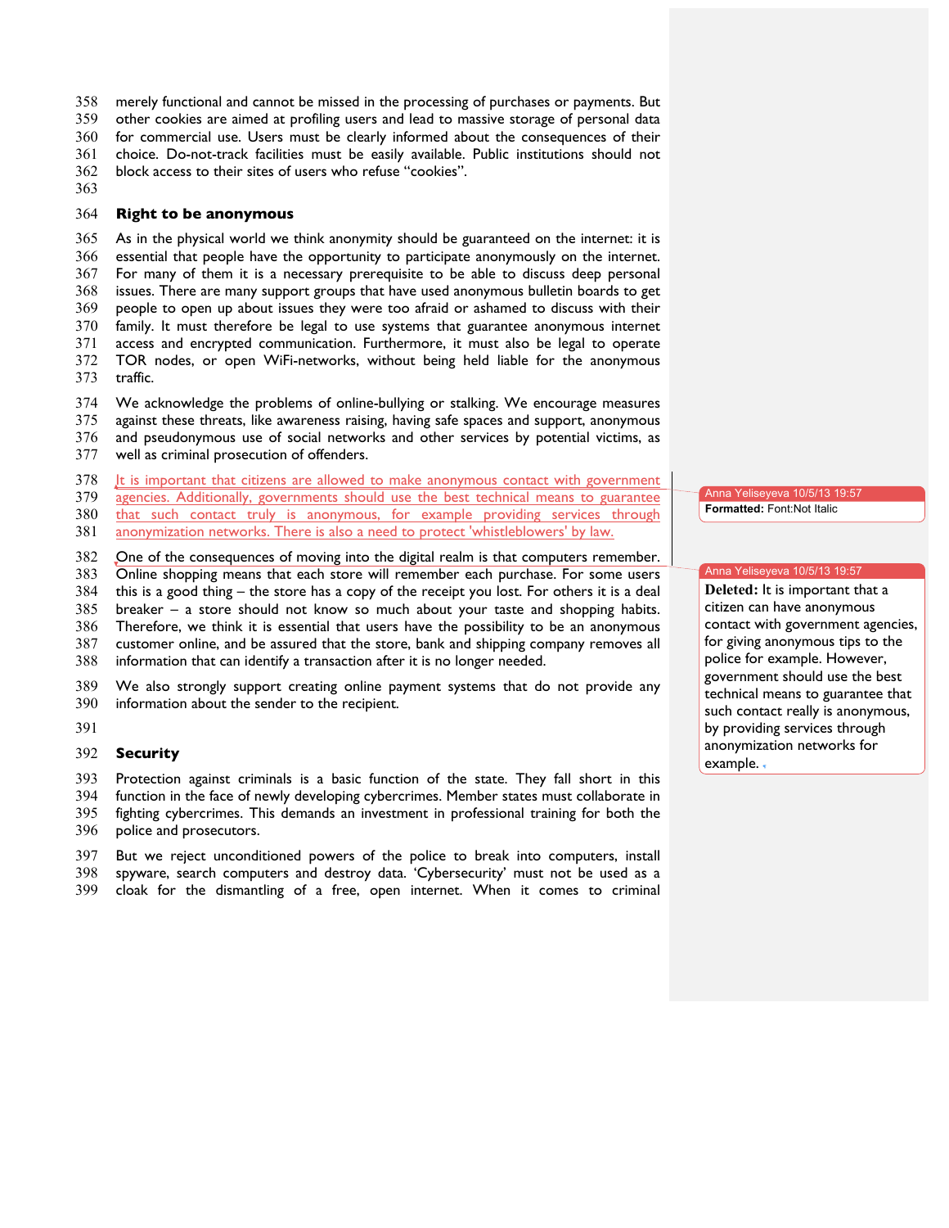merely functional and cannot be missed in the processing of purchases or payments. But

other cookies are aimed at profiling users and lead to massive storage of personal data

for commercial use. Users must be clearly informed about the consequences of their

choice. Do-not-track facilities must be easily available. Public institutions should not

block access to their sites of users who refuse "cookies".

## **Right to be anonymous**

 As in the physical world we think anonymity should be guaranteed on the internet: it is essential that people have the opportunity to participate anonymously on the internet. For many of them it is a necessary prerequisite to be able to discuss deep personal issues. There are many support groups that have used anonymous bulletin boards to get people to open up about issues they were too afraid or ashamed to discuss with their family. It must therefore be legal to use systems that guarantee anonymous internet access and encrypted communication. Furthermore, it must also be legal to operate TOR nodes, or open WiFi-networks, without being held liable for the anonymous

traffic.

We acknowledge the problems of online-bullying or stalking. We encourage measures

against these threats, like awareness raising, having safe spaces and support, anonymous

- and pseudonymous use of social networks and other services by potential victims, as
- well as criminal prosecution of offenders.

It is important that citizens are allowed to make anonymous contact with government  $379$  agencies. Additionally, governments should use the best technical means to guarantee

agencies. Additionally, governments should use the best technical means to guarantee

that such contact truly is anonymous, for example providing services through

anonymization networks. There is also a need to protect 'whistleblowers' by law.

One of the consequences of moving into the digital realm is that computers remember.

Online shopping means that each store will remember each purchase. For some users

 this is a good thing – the store has a copy of the receipt you lost. For others it is a deal breaker – a store should not know so much about your taste and shopping habits.

Therefore, we think it is essential that users have the possibility to be an anonymous

customer online, and be assured that the store, bank and shipping company removes all

information that can identify a transaction after it is no longer needed.

 We also strongly support creating online payment systems that do not provide any information about the sender to the recipient.

## **Security**

Protection against criminals is a basic function of the state. They fall short in this

function in the face of newly developing cybercrimes. Member states must collaborate in

fighting cybercrimes. This demands an investment in professional training for both the

police and prosecutors.

 But we reject unconditioned powers of the police to break into computers, install spyware, search computers and destroy data. 'Cybersecurity' must not be used as a cloak for the dismantling of a free, open internet. When it comes to criminal

Anna Yeliseyeva 10/5/13 19:57 **Formatted:** Font:Not Italic

#### Anna Yeliseyeva 10/5/13 19:57

Deleted: It is important that a citizen can have anonymous contact with government agencies, for giving anonymous tips to the police for example. However, government should use the best technical means to guarantee that such contact really is anonymous, by providing services through anonymization networks for example.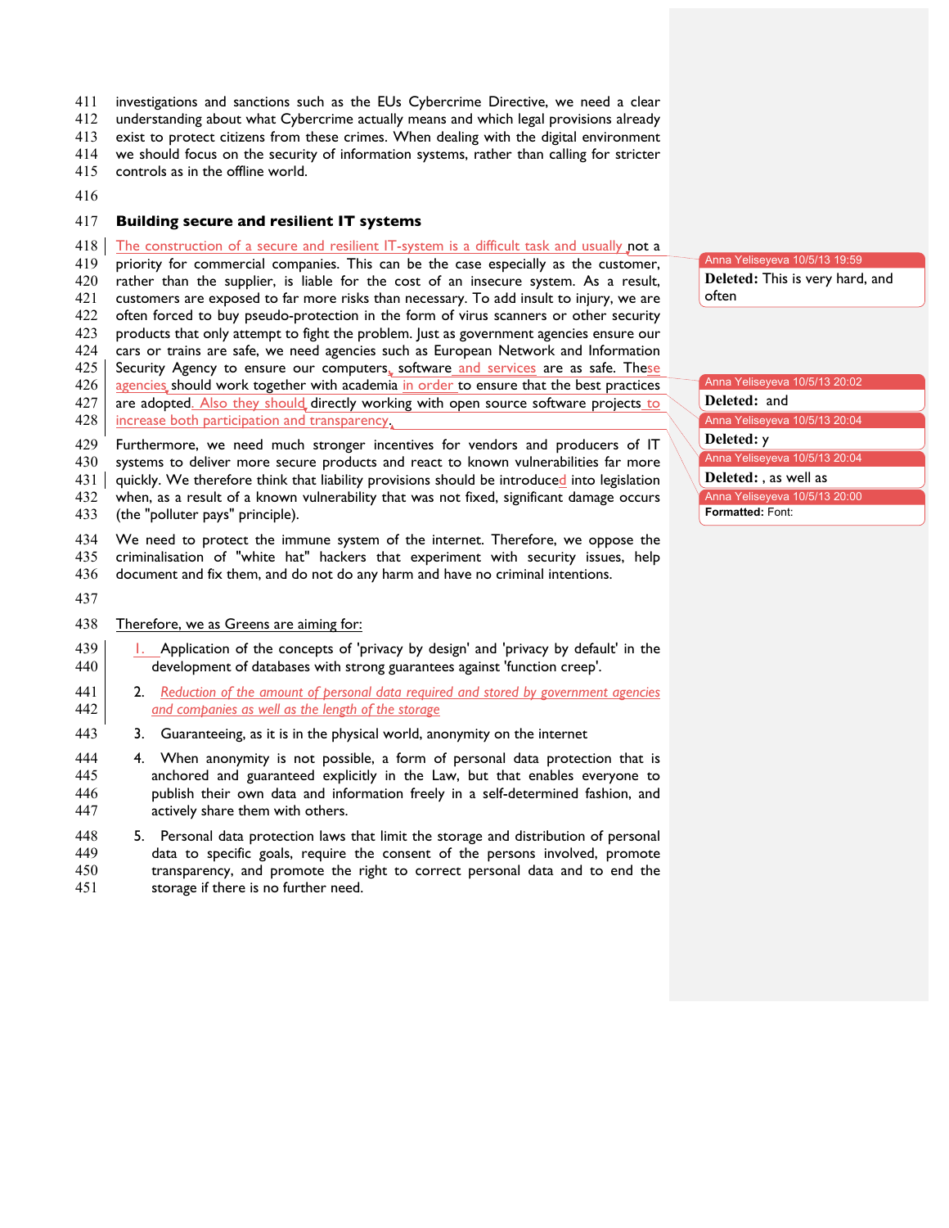investigations and sanctions such as the EUs Cybercrime Directive, we need a clear

understanding about what Cybercrime actually means and which legal provisions already

exist to protect citizens from these crimes. When dealing with the digital environment

we should focus on the security of information systems, rather than calling for stricter

controls as in the offline world.

## **Building secure and resilient IT systems**

418 The construction of a secure and resilient IT-system is a difficult task and usually not a

 priority for commercial companies. This can be the case especially as the customer, rather than the supplier, is liable for the cost of an insecure system. As a result, customers are exposed to far more risks than necessary. To add insult to injury, we are often forced to buy pseudo-protection in the form of virus scanners or other security products that only attempt to fight the problem. Just as government agencies ensure our cars or trains are safe, we need agencies such as European Network and Information Security Agency to ensure our computers, software and services are as safe. These

426 agencies, should work together with academia in order to ensure that the best practices

427 are adopted. Also they should directly working with open source software projects to 428 increase both participation and transparency.

 Furthermore, we need much stronger incentives for vendors and producers of IT systems to deliver more secure products and react to known vulnerabilities far more 431 quickly. We therefore think that liability provisions should be introduced into legislation when, as a result of a known vulnerability that was not fixed, significant damage occurs (the "polluter pays" principle).

 We need to protect the immune system of the internet. Therefore, we oppose the criminalisation of "white hat" hackers that experiment with security issues, help document and fix them, and do not do any harm and have no criminal intentions.

## 438 Therefore, we as Greens are aiming for:

- 439 1. Application of the concepts of 'privacy by design' and 'privacy by default' in the 440 development of databases with strong guarantees against 'function creep'.
- 2. *Reduction of the amount of personal data required and stored by government agencies and companies as well as the length of the storage*
- 443 3. Guaranteeing, as it is in the physical world, anonymity on the internet
- 4. When anonymity is not possible, a form of personal data protection that is anchored and guaranteed explicitly in the Law, but that enables everyone to publish their own data and information freely in a self-determined fashion, and actively share them with others.
- 5. Personal data protection laws that limit the storage and distribution of personal data to specific goals, require the consent of the persons involved, promote transparency, and promote the right to correct personal data and to end the storage if there is no further need.

Anna Yeliseyeva 10/5/13 19:59 Deleted: This is very hard, and often

Anna Yeliseyeva 10/5/13 20:02

**Deleted:** and

Anna Yeliseyeva 10/5/13 20:04

Deleted: **y** 

Anna Yeliseyeva 10/5/13 20:04

**Deleted:** , as well as

Anna Yeliseyeva 10/5/13 20:00 **Formatted:** Font: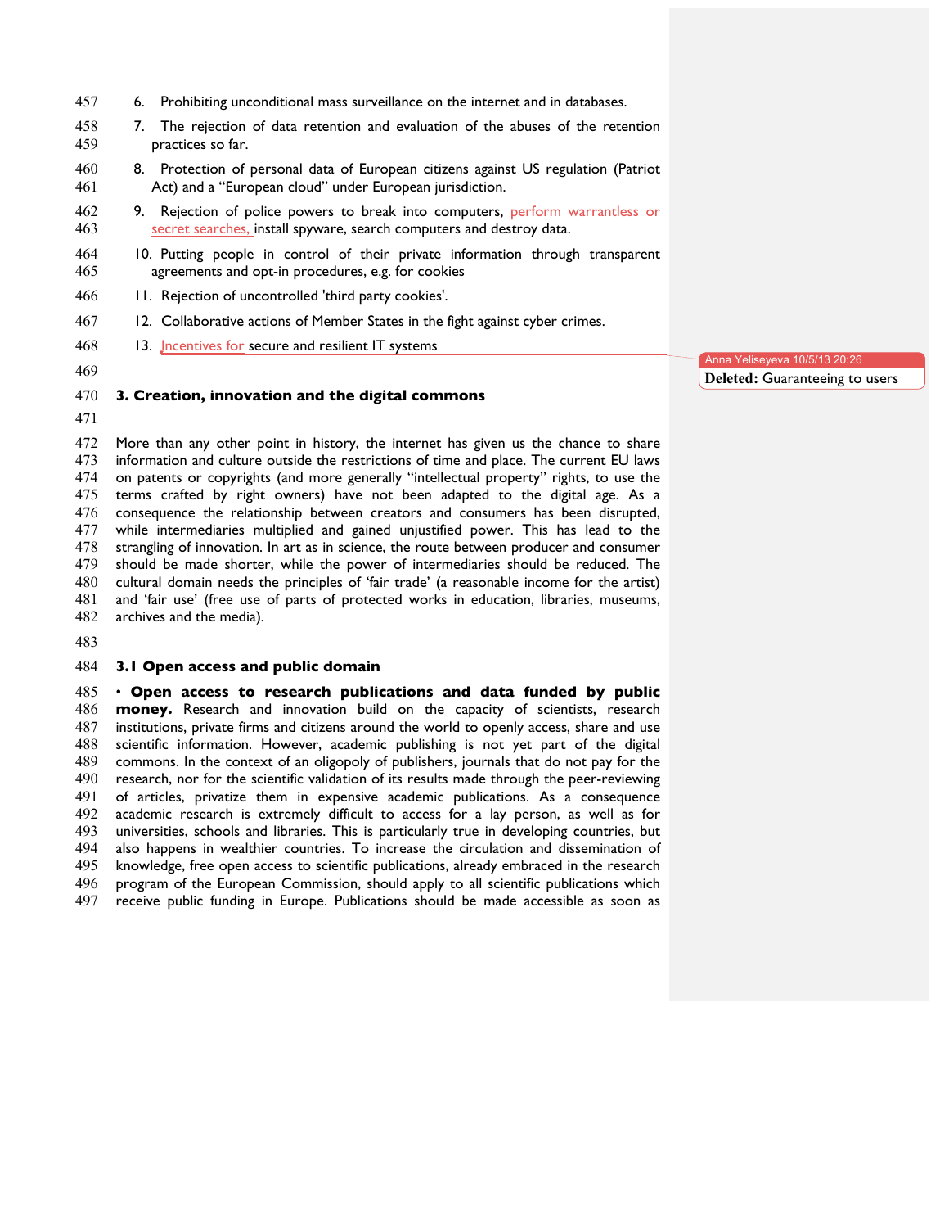- 6. Prohibiting unconditional mass surveillance on the internet and in databases.
- 7. The rejection of data retention and evaluation of the abuses of the retention practices so far.
- 8. Protection of personal data of European citizens against US regulation (Patriot Act) and a "European cloud" under European jurisdiction.
- 9. Rejection of police powers to break into computers, perform warrantless or secret searches, install spyware, search computers and destroy data.
- 10. Putting people in control of their private information through transparent agreements and opt-in procedures, e.g. for cookies
- 11. Rejection of uncontrolled 'third party cookies'.
- 467 12. Collaborative actions of Member States in the fight against cyber crimes.
- 468 13. **J** ncentives for secure and resilient IT systems
- 

#### **3. Creation, innovation and the digital commons**

 More than any other point in history, the internet has given us the chance to share information and culture outside the restrictions of time and place. The current EU laws on patents or copyrights (and more generally "intellectual property" rights, to use the terms crafted by right owners) have not been adapted to the digital age. As a consequence the relationship between creators and consumers has been disrupted, while intermediaries multiplied and gained unjustified power. This has lead to the strangling of innovation. In art as in science, the route between producer and consumer should be made shorter, while the power of intermediaries should be reduced. The cultural domain needs the principles of 'fair trade' (a reasonable income for the artist) and 'fair use' (free use of parts of protected works in education, libraries, museums, archives and the media).

#### **3.1 Open access and public domain**

 • **Open access to research publications and data funded by public money.** Research and innovation build on the capacity of scientists, research institutions, private firms and citizens around the world to openly access, share and use scientific information. However, academic publishing is not yet part of the digital commons. In the context of an oligopoly of publishers, journals that do not pay for the research, nor for the scientific validation of its results made through the peer-reviewing of articles, privatize them in expensive academic publications. As a consequence academic research is extremely difficult to access for a lay person, as well as for universities, schools and libraries. This is particularly true in developing countries, but also happens in wealthier countries. To increase the circulation and dissemination of knowledge, free open access to scientific publications, already embraced in the research program of the European Commission, should apply to all scientific publications which receive public funding in Europe. Publications should be made accessible as soon as

Anna Yeliseyeva 10/5/13 20:26 **Deleted: Guaranteeing to users**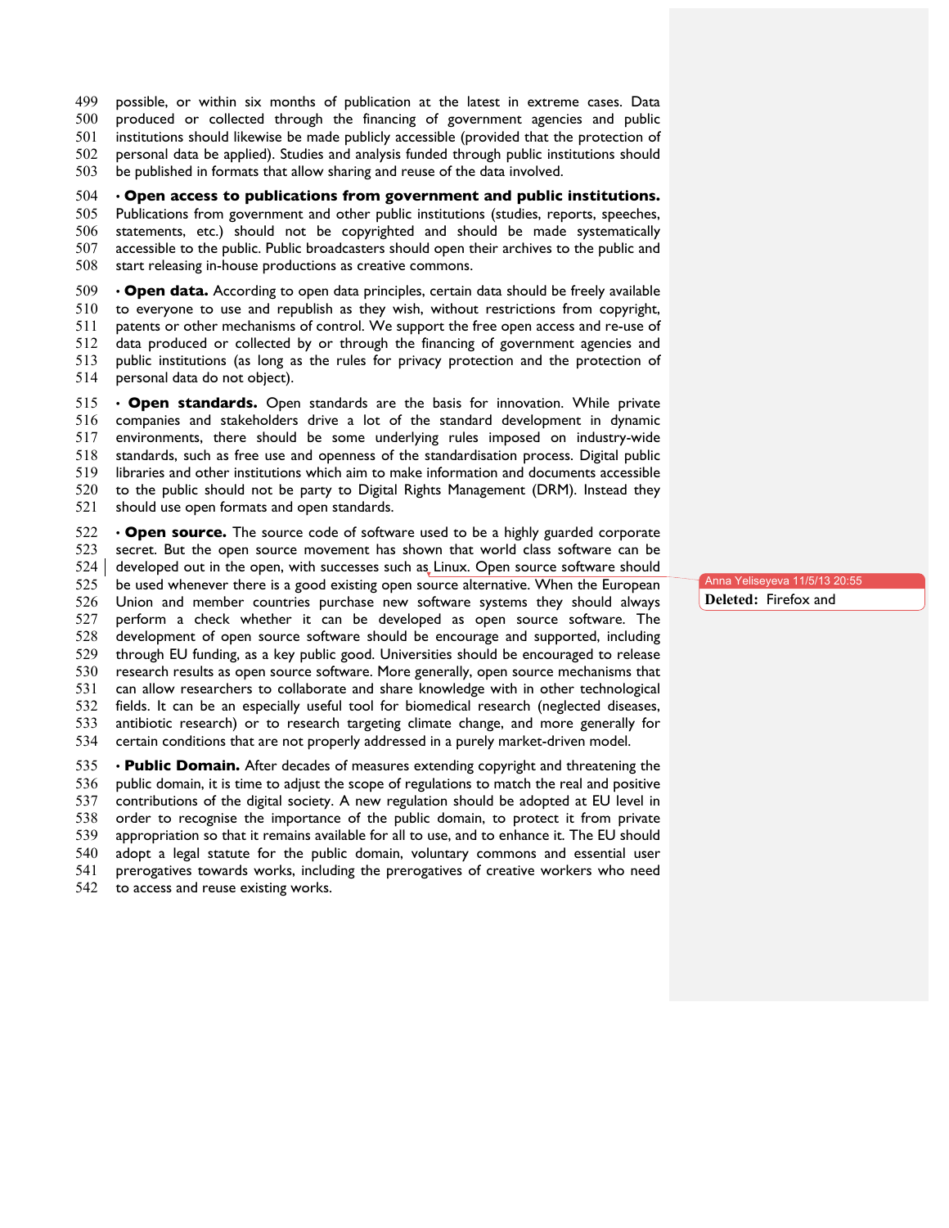- possible, or within six months of publication at the latest in extreme cases. Data
- produced or collected through the financing of government agencies and public
- institutions should likewise be made publicly accessible (provided that the protection of
- personal data be applied). Studies and analysis funded through public institutions should

be published in formats that allow sharing and reuse of the data involved.

## • **Open access to publications from government and public institutions.**

 Publications from government and other public institutions (studies, reports, speeches, statements, etc.) should not be copyrighted and should be made systematically accessible to the public. Public broadcasters should open their archives to the public and start releasing in-house productions as creative commons.

 • **Open data.** According to open data principles, certain data should be freely available to everyone to use and republish as they wish, without restrictions from copyright, patents or other mechanisms of control. We support the free open access and re-use of data produced or collected by or through the financing of government agencies and public institutions (as long as the rules for privacy protection and the protection of personal data do not object).

 • **Open standards.** Open standards are the basis for innovation. While private companies and stakeholders drive a lot of the standard development in dynamic environments, there should be some underlying rules imposed on industry-wide standards, such as free use and openness of the standardisation process. Digital public libraries and other institutions which aim to make information and documents accessible to the public should not be party to Digital Rights Management (DRM). Instead they should use open formats and open standards.

 • **Open source.** The source code of software used to be a highly guarded corporate secret. But the open source movement has shown that world class software can be 524 developed out in the open, with successes such as Linux. Open source software should be used whenever there is a good existing open source alternative. When the European Union and member countries purchase new software systems they should always perform a check whether it can be developed as open source software. The development of open source software should be encourage and supported, including through EU funding, as a key public good. Universities should be encouraged to release research results as open source software. More generally, open source mechanisms that can allow researchers to collaborate and share knowledge with in other technological fields. It can be an especially useful tool for biomedical research (neglected diseases, antibiotic research) or to research targeting climate change, and more generally for certain conditions that are not properly addressed in a purely market-driven model.

 • **Public Domain.** After decades of measures extending copyright and threatening the public domain, it is time to adjust the scope of regulations to match the real and positive contributions of the digital society. A new regulation should be adopted at EU level in order to recognise the importance of the public domain, to protect it from private appropriation so that it remains available for all to use, and to enhance it. The EU should adopt a legal statute for the public domain, voluntary commons and essential user prerogatives towards works, including the prerogatives of creative workers who need to access and reuse existing works.

Anna Yeliseyeva 11/5/13 20:55 Deleted: Firefox and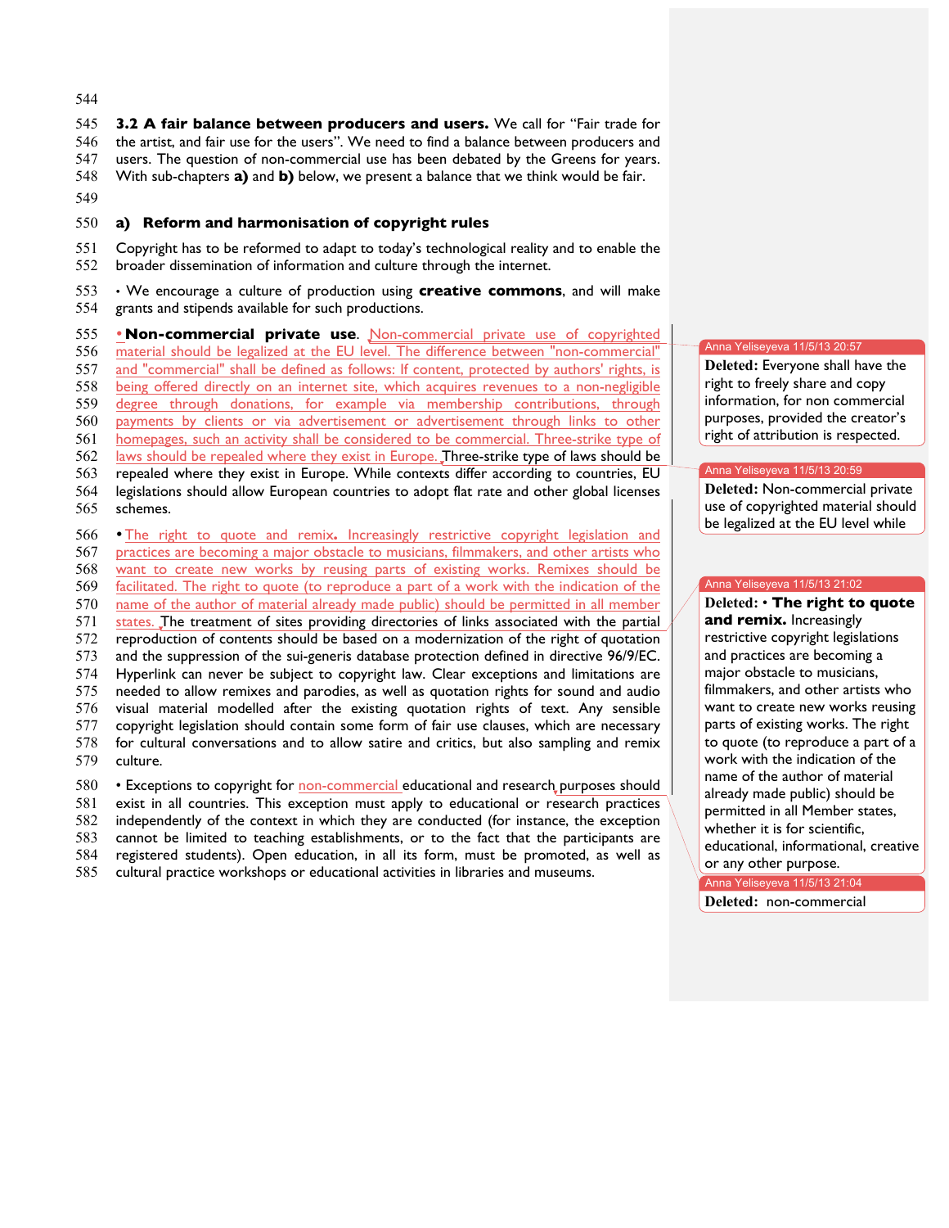544

 **3.2 A fair balance between producers and users.** We call for "Fair trade for the artist, and fair use for the users". We need to find a balance between producers and users. The question of non-commercial use has been debated by the Greens for years. With sub-chapters **a)** and **b)** below, we present a balance that we think would be fair.

549

## 550 **a) Reform and harmonisation of copyright rules**

551 Copyright has to be reformed to adapt to today's technological reality and to enable the 552 broader dissemination of information and culture through the internet.

553 • We encourage a culture of production using **creative commons**, and will make 554 grants and stipends available for such productions.

 •**Non-commercial private use**. Non-commercial private use of copyrighted material should be legalized at the EU level. The difference between "non-commercial" and "commercial" shall be defined as follows: If content, protected by authors' rights, is being offered directly on an internet site, which acquires revenues to a non-negligible degree through donations, for example via membership contributions, through payments by clients or via advertisement or advertisement through links to other homepages, such an activity shall be considered to be commercial. Three-strike type of 562 laws should be repealed where they exist in Europe. Three-strike type of laws should be repealed where they exist in Europe. While contexts differ according to countries, EU legislations should allow European countries to adopt flat rate and other global licenses 565 schemes. 566 • The right to quote and remix. Increasingly restrictive copyright legislation and 567 **practices** are becoming a major obstacle to musicians. filmmakers, and other artists who practices are becoming a major obstacle to musicians, filmmakers, and other artists who want to create new works by reusing parts of existing works. Remixes should be facilitated. The right to quote (to reproduce a part of a work with the indication of the name of the author of material already made public) should be permitted in all member 571 states. The treatment of sites providing directories of links associated with the partial reproduction of contents should be based on a modernization of the right of quotation

573 and the suppression of the sui-generis database protection defined in directive 96/9/EC. 574 Hyperlink can never be subject to copyright law. Clear exceptions and limitations are 575 needed to allow remixes and parodies, as well as quotation rights for sound and audio 576 visual material modelled after the existing quotation rights of text. Any sensible 577 copyright legislation should contain some form of fair use clauses, which are necessary<br>578 for cultural conversations and to allow satire and critics, but also sampling and remix for cultural conversations and to allow satire and critics, but also sampling and remix 579 culture.

 • Exceptions to copyright for non-commercial educational and research purposes should exist in all countries. This exception must apply to educational or research practices independently of the context in which they are conducted (for instance, the exception cannot be limited to teaching establishments, or to the fact that the participants are registered students). Open education, in all its form, must be promoted, as well as cultural practice workshops or educational activities in libraries and museums.

#### Anna Yeliseyeva 11/5/13 20:57

586 **Deleted:** Everyone shall have the right to freely share and copy information, for non commercial purposes, provided the creator's right of attribution is respected.

#### Anna Yeliseyeva 11/5/13 20:59

Deleted: Non-commercial private use of copyrighted material should be legalized at the EU level while

#### Anna Yeliseyeva 11/5/13 21:02

594 **Deleted:** • **The right to quote**  and remix. Increasingly restrictive copyright legislations and practices are becoming a major obstacle to musicians. filmmakers, and other artists who want to create new works reusing parts of existing works. The right to quote (to reproduce a part of a work with the indication of the name of the author of material already made public) should be permitted in all Member states, whether it is for scientific. educational, informational, creative or any other purpose.

Anna Yeliseyeva 11/5/13 21:04

610 **Deleted:** non-commercial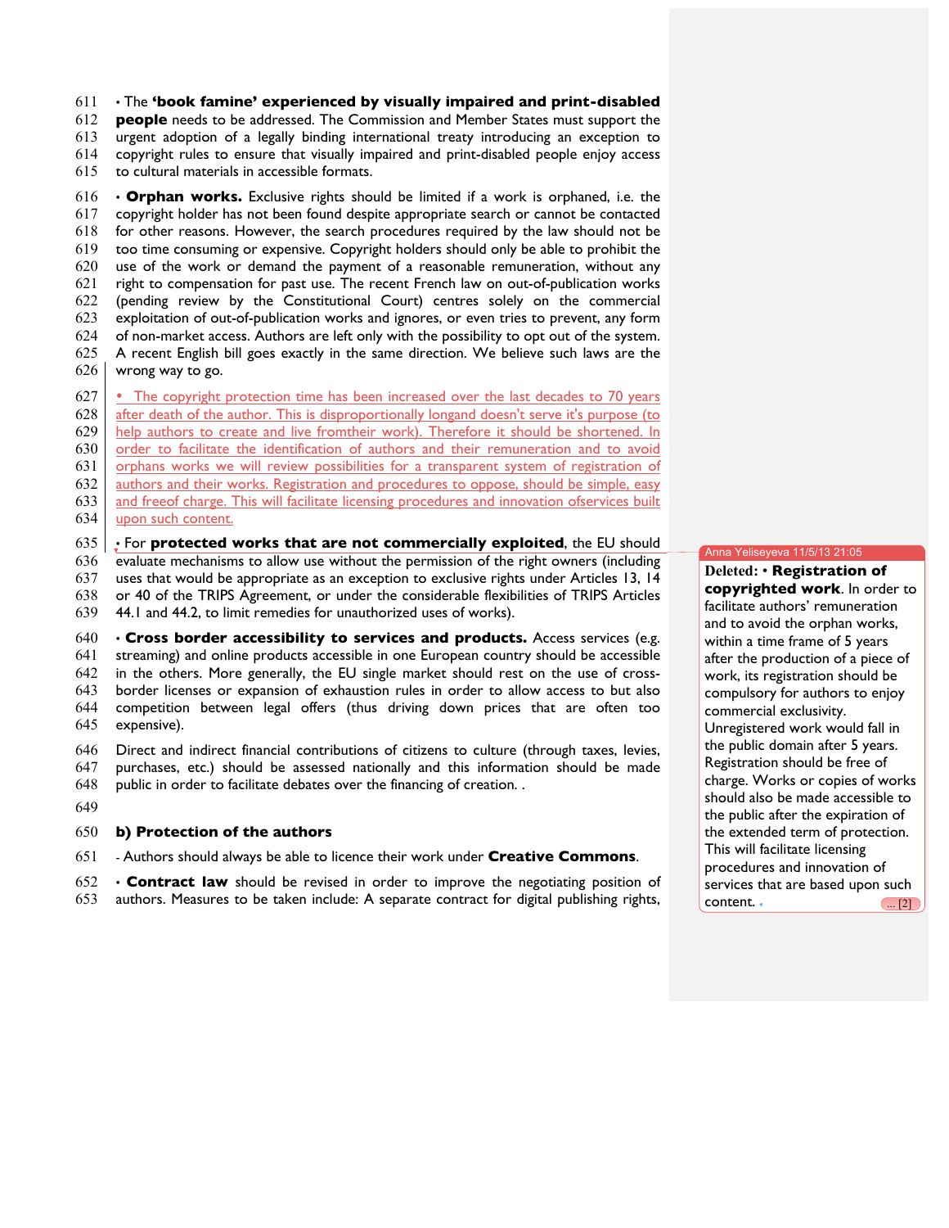• The **'book famine' experienced by visually impaired and print-disabled people** needs to be addressed. The Commission and Member States must support the urgent adoption of a legally binding international treaty introducing an exception to copyright rules to ensure that visually impaired and print-disabled people enjoy access to cultural materials in accessible formats.

 • **Orphan works.** Exclusive rights should be limited if a work is orphaned, i.e. the copyright holder has not been found despite appropriate search or cannot be contacted for other reasons. However, the search procedures required by the law should not be too time consuming or expensive. Copyright holders should only be able to prohibit the use of the work or demand the payment of a reasonable remuneration, without any right to compensation for past use. The recent French law on out-of-publication works (pending review by the Constitutional Court) centres solely on the commercial exploitation of out-of-publication works and ignores, or even tries to prevent, any form of non-market access. Authors are left only with the possibility to opt out of the system. A recent English bill goes exactly in the same direction. We believe such laws are the wrong way to go.

 • The copyright protection time has been increased over the last decades to 70 years 628 after death of the author. This is disproportionally longand doesn't serve it's purpose (to help authors to create and live fromtheir work). Therefore it should be shortened. In order to facilitate the identification of authors and their remuneration and to avoid orphans works we will review possibilities for a transparent system of registration of authors and their works. Registration and procedures to oppose, should be simple, easy and freeof charge. This will facilitate licensing procedures and innovation ofservices built upon such content.

• For **protected works that are not commercially exploited**, the EU should

evaluate mechanisms to allow use without the permission of the right owners (including

uses that would be appropriate as an exception to exclusive rights under Articles 13, 14

or 40 of the TRIPS Agreement, or under the considerable flexibilities of TRIPS Articles

44.1 and 44.2, to limit remedies for unauthorized uses of works).

## • **Cross border accessibility to services and products.** Access services (e.g.

 streaming) and online products accessible in one European country should be accessible in the others. More generally, the EU single market should rest on the use of cross- border licenses or expansion of exhaustion rules in order to allow access to but also competition between legal offers (thus driving down prices that are often too expensive).

- Direct and indirect financial contributions of citizens to culture (through taxes, levies, purchases, etc.) should be assessed nationally and this information should be made
- public in order to facilitate debates over the financing of creation. .
- 

## **b) Protection of the authors**

- Authors should always be able to licence their work under **Creative Commons**.

 • **Contract law** should be revised in order to improve the negotiating position of authors. Measures to be taken include: A separate contract for digital publishing rights,

#### Anna Yeliseyeva 11/5/13 21:05

 **Deleted:** • **Registration of copyrighted work**. In order to facilitate authors' remuneration and to avoid the orphan works, within a time frame of 5 years after the production of a piece of work, its registration should be compulsory for authors to enjoy commercial exclusivity. Unregistered work would fall in the public domain after 5 years. Registration should be free of charge. Works or copies of works should also be made accessible to the public after the expiration of the extended term of protection. This will facilitate licensing procedures and innovation of services that are based upon such  $\text{content.} \quad \text{(... [2])}$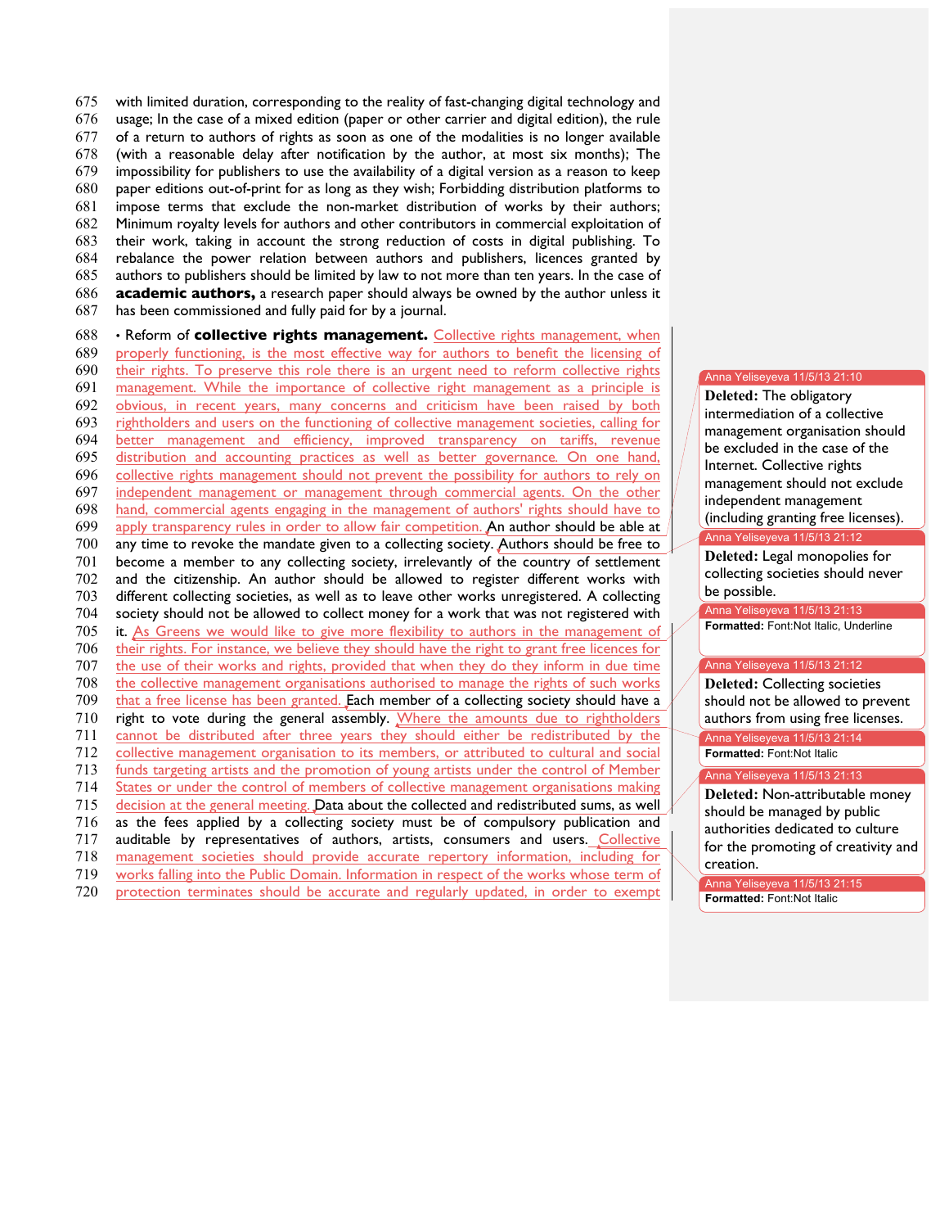with limited duration, corresponding to the reality of fast-changing digital technology and usage; In the case of a mixed edition (paper or other carrier and digital edition), the rule of a return to authors of rights as soon as one of the modalities is no longer available (with a reasonable delay after notification by the author, at most six months); The impossibility for publishers to use the availability of a digital version as a reason to keep paper editions out-of-print for as long as they wish; Forbidding distribution platforms to impose terms that exclude the non-market distribution of works by their authors; Minimum royalty levels for authors and other contributors in commercial exploitation of their work, taking in account the strong reduction of costs in digital publishing. To rebalance the power relation between authors and publishers, licences granted by authors to publishers should be limited by law to not more than ten years. In the case of **academic authors,** a research paper should always be owned by the author unless it has been commissioned and fully paid for by a journal.

 • Reform of **collective rights management.** Collective rights management, when properly functioning, is the most effective way for authors to benefit the licensing of their rights. To preserve this role there is an urgent need to reform collective rights management. While the importance of collective right management as a principle is obvious, in recent years, many concerns and criticism have been raised by both rightholders and users on the functioning of collective management societies, calling for better management and efficiency, improved transparency on tariffs, revenue distribution and accounting practices as well as better governance*.* On one hand, collective rights management should not prevent the possibility for authors to rely on independent management or management through commercial agents. On the other hand, commercial agents engaging in the management of authors' rights should have to apply transparency rules in order to allow fair competition. An author should be able at any time to revoke the mandate given to a collecting society. Authors should be free to become a member to any collecting society, irrelevantly of the country of settlement and the citizenship. An author should be allowed to register different works with different collecting societies, as well as to leave other works unregistered. A collecting society should not be allowed to collect money for a work that was not registered with 705 it. As Greens we would like to give more flexibility to authors in the management of their rights. For instance, we believe they should have the right to grant free licences for the use of their works and rights, provided that when they do they inform in due time the collective management organisations authorised to manage the rights of such works 709 that a free license has been granted. Each member of a collecting society should have a right to vote during the general assembly. Where the amounts due to rightholders cannot be distributed after three years they should either be redistributed by the collective management organisation to its members, or attributed to cultural and social 713 funds targeting artists and the promotion of young artists under the control of Member States or under the control of members of collective management organisations making decision at the general meeting. Data about the collected and redistributed sums, as well as the fees applied by a collecting society must be of compulsory publication and auditable by representatives of authors, artists, consumers and users. Collective management societies should provide accurate repertory information, including for 719 works falling into the Public Domain. Information in respect of the works whose term of protection terminates should be accurate and regularly updated, in order to exempt

#### Anna Yeliseyeva 11/5/13 21:10

**Deleted: The obligatory** intermediation of a collective management organisation should be excluded in the case of the Internet. Collective rights management should not exclude independent management (including granting free licenses). Anna Yeliseyeva 11/5/13 21:12

Deleted: Legal monopolies for collecting societies should never be possible.

Anna Yeliseyeva 11/5/13 21:13 **Formatted:** Font:Not Italic, Underline

## Anna Yeliseyeva 11/5/13 21:12

**Deleted: Collecting societies** should not be allowed to prevent authors from using free licenses. Anna Yeliseyeva 11/5/13 21:14

**Formatted:** Font:Not Italic

#### Anna Yeliseyeva 11/5/13 21:13

735 **Deleted:** Non-attributable money should be managed by public authorities dedicated to culture for the promoting of creativity and creation.

Anna Yeliseyeva 11/5/13 21:15 **Formatted:** Font:Not Italic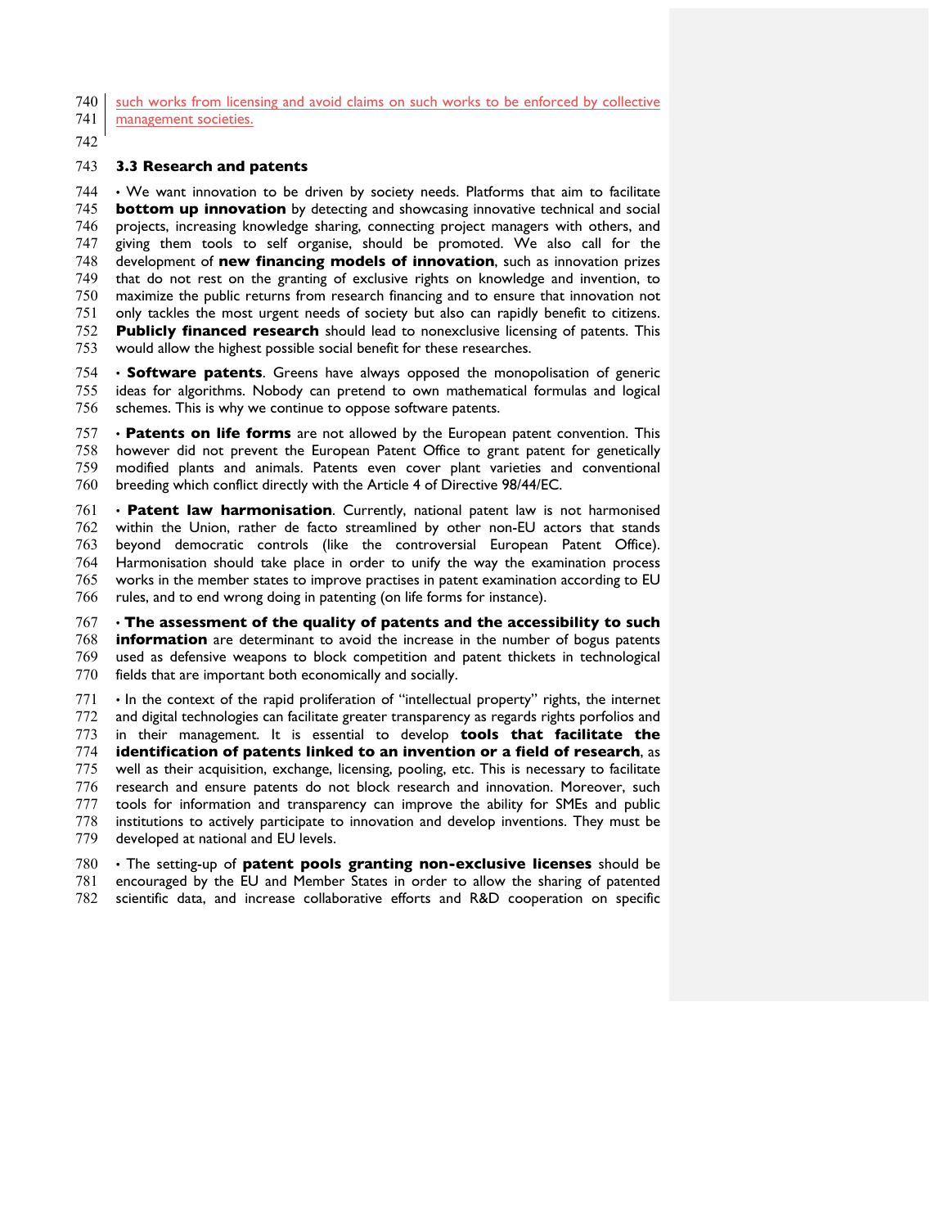740 such works from licensing and avoid claims on such works to be enforced by collective

741 management societies.

## **3.3 Research and patents**

 • We want innovation to be driven by society needs. Platforms that aim to facilitate **bottom up innovation** by detecting and showcasing innovative technical and social projects, increasing knowledge sharing, connecting project managers with others, and giving them tools to self organise, should be promoted. We also call for the development of **new financing models of innovation**, such as innovation prizes that do not rest on the granting of exclusive rights on knowledge and invention, to maximize the public returns from research financing and to ensure that innovation not only tackles the most urgent needs of society but also can rapidly benefit to citizens. **Publicly financed research** should lead to nonexclusive licensing of patents. This would allow the highest possible social benefit for these researches.

 • **Software patents**. Greens have always opposed the monopolisation of generic ideas for algorithms. Nobody can pretend to own mathematical formulas and logical schemes. This is why we continue to oppose software patents.

 • **Patents on life forms** are not allowed by the European patent convention. This however did not prevent the European Patent Office to grant patent for genetically modified plants and animals. Patents even cover plant varieties and conventional breeding which conflict directly with the Article 4 of Directive 98/44/EC.

 • **Patent law harmonisation**. Currently, national patent law is not harmonised within the Union, rather de facto streamlined by other non-EU actors that stands beyond democratic controls (like the controversial European Patent Office). Harmonisation should take place in order to unify the way the examination process works in the member states to improve practises in patent examination according to EU rules, and to end wrong doing in patenting (on life forms for instance).

 • **The assessment of the quality of patents and the accessibility to such information** are determinant to avoid the increase in the number of bogus patents used as defensive weapons to block competition and patent thickets in technological fields that are important both economically and socially.

 • In the context of the rapid proliferation of "intellectual property" rights, the internet and digital technologies can facilitate greater transparency as regards rights porfolios and in their management. It is essential to develop **tools that facilitate the identification of patents linked to an invention or a field of research**, as well as their acquisition, exchange, licensing, pooling, etc. This is necessary to facilitate research and ensure patents do not block research and innovation. Moreover, such tools for information and transparency can improve the ability for SMEs and public institutions to actively participate to innovation and develop inventions. They must be developed at national and EU levels.

 • The setting-up of **patent pools granting non-exclusive licenses** should be encouraged by the EU and Member States in order to allow the sharing of patented scientific data, and increase collaborative efforts and R&D cooperation on specific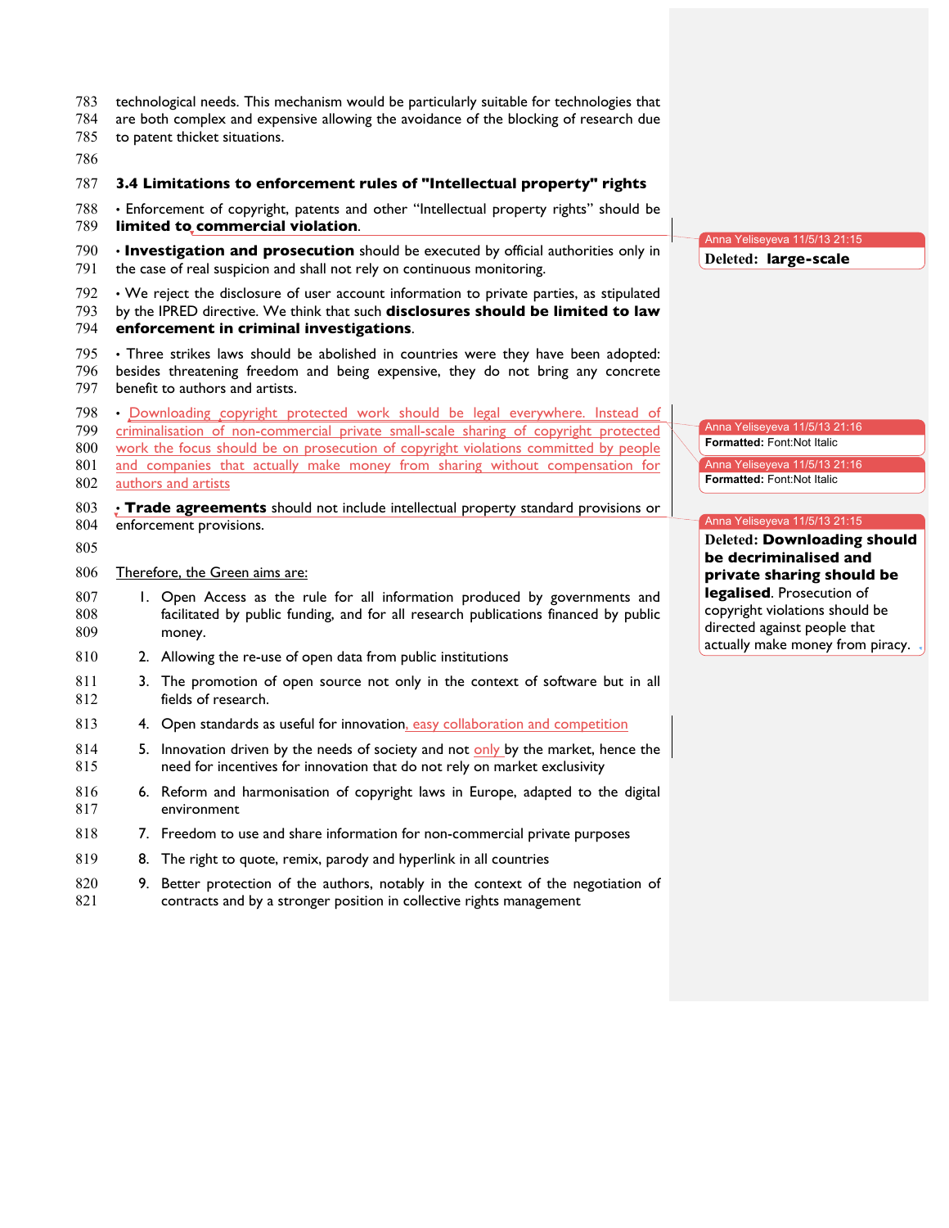| 783<br>784<br>785<br>786        |                                                                                                                                                                                                                                                                                                                                                                     | technological needs. This mechanism would be particularly suitable for technologies that<br>are both complex and expensive allowing the avoidance of the blocking of research due<br>to patent thicket situations.     |                                                                                                                            |
|---------------------------------|---------------------------------------------------------------------------------------------------------------------------------------------------------------------------------------------------------------------------------------------------------------------------------------------------------------------------------------------------------------------|------------------------------------------------------------------------------------------------------------------------------------------------------------------------------------------------------------------------|----------------------------------------------------------------------------------------------------------------------------|
| 787                             |                                                                                                                                                                                                                                                                                                                                                                     | 3.4 Limitations to enforcement rules of "Intellectual property" rights                                                                                                                                                 |                                                                                                                            |
| 788<br>789                      |                                                                                                                                                                                                                                                                                                                                                                     | · Enforcement of copyright, patents and other "Intellectual property rights" should be<br>limited to commercial violation.                                                                                             |                                                                                                                            |
| 790<br>791                      |                                                                                                                                                                                                                                                                                                                                                                     | . Investigation and prosecution should be executed by official authorities only in<br>the case of real suspicion and shall not rely on continuous monitoring.                                                          | Anna Yeliseyeva 11/5/13 21:15<br>Deleted: large-scale                                                                      |
| 792<br>793<br>794               |                                                                                                                                                                                                                                                                                                                                                                     | • We reject the disclosure of user account information to private parties, as stipulated<br>by the IPRED directive. We think that such disclosures should be limited to law<br>enforcement in criminal investigations. |                                                                                                                            |
| 795<br>796<br>797               |                                                                                                                                                                                                                                                                                                                                                                     | · Three strikes laws should be abolished in countries were they have been adopted:<br>besides threatening freedom and being expensive, they do not bring any concrete<br>benefit to authors and artists.               |                                                                                                                            |
| 798<br>799<br>800<br>801<br>802 | · Downloading copyright protected work should be legal everywhere. Instead of<br>criminalisation of non-commercial private small-scale sharing of copyright protected<br>work the focus should be on prosecution of copyright violations committed by people<br>and companies that actually make money from sharing without compensation for<br>authors and artists |                                                                                                                                                                                                                        | Anna Yeliseyeva 11/5/13 21:16<br>Formatted: Font:Not Italic<br>Anna Yeliseyeva 11/5/13 21:16<br>Formatted: Font:Not Italic |
| 803<br>804<br>805               | ; Trade agreements should not include intellectual property standard provisions or<br>enforcement provisions.                                                                                                                                                                                                                                                       |                                                                                                                                                                                                                        | Anna Yeliseyeva 11/5/13 21:15<br><b>Deleted: Downloading should</b><br>be decriminalised and                               |
| 806<br>807<br>808<br>809        |                                                                                                                                                                                                                                                                                                                                                                     | Therefore, the Green aims are:<br>1. Open Access as the rule for all information produced by governments and<br>facilitated by public funding, and for all research publications financed by public<br>money.          | private sharing should be<br>legalised. Prosecution of<br>copyright violations should be<br>directed against people that   |
| 810                             |                                                                                                                                                                                                                                                                                                                                                                     | 2. Allowing the re-use of open data from public institutions                                                                                                                                                           | actually make money from piracy.                                                                                           |
| 811<br>812                      |                                                                                                                                                                                                                                                                                                                                                                     | 3. The promotion of open source not only in the context of software but in all<br>fields of research.                                                                                                                  |                                                                                                                            |
| 813                             |                                                                                                                                                                                                                                                                                                                                                                     | 4. Open standards as useful for innovation, easy collaboration and competition                                                                                                                                         |                                                                                                                            |
| 814<br>815                      |                                                                                                                                                                                                                                                                                                                                                                     | 5. Innovation driven by the needs of society and not only by the market, hence the<br>need for incentives for innovation that do not rely on market exclusivity                                                        |                                                                                                                            |
| 816<br>817                      |                                                                                                                                                                                                                                                                                                                                                                     | 6. Reform and harmonisation of copyright laws in Europe, adapted to the digital<br>environment                                                                                                                         |                                                                                                                            |
| 818                             |                                                                                                                                                                                                                                                                                                                                                                     | 7. Freedom to use and share information for non-commercial private purposes                                                                                                                                            |                                                                                                                            |
| 819                             |                                                                                                                                                                                                                                                                                                                                                                     | 8. The right to quote, remix, parody and hyperlink in all countries                                                                                                                                                    |                                                                                                                            |
| 820<br>821                      | 9.                                                                                                                                                                                                                                                                                                                                                                  | Better protection of the authors, notably in the context of the negotiation of<br>contracts and by a stronger position in collective rights management                                                                 |                                                                                                                            |
|                                 |                                                                                                                                                                                                                                                                                                                                                                     |                                                                                                                                                                                                                        |                                                                                                                            |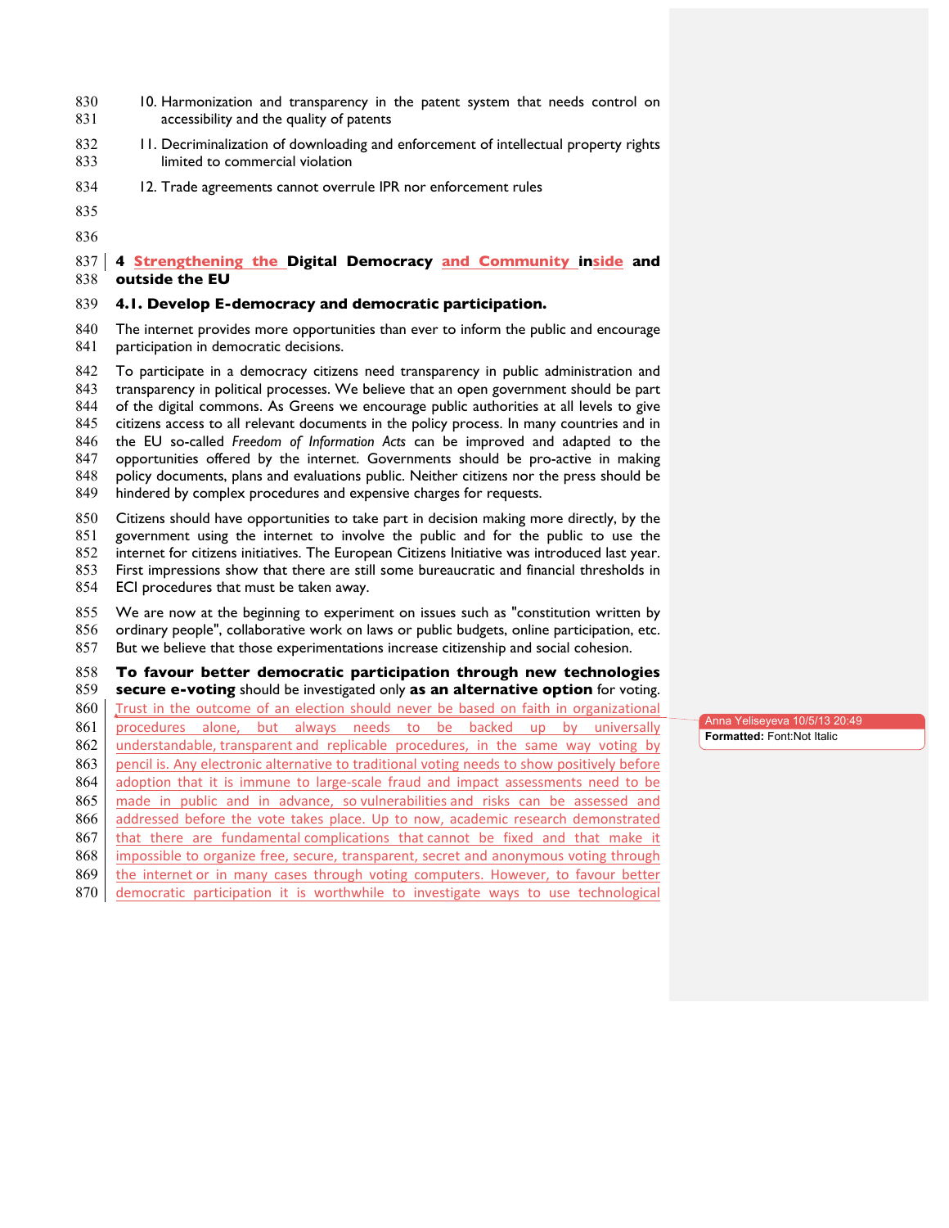- 830 10. Harmonization and transparency in the patent system that needs control on **accessibility and the quality of patents**
- 832 11. Decriminalization of downloading and enforcement of intellectual property rights 833 limited to commercial violation
- 834 12. Trade agreements cannot overrule IPR nor enforcement rules
- 
- 

## **4 Strengthening the Digital Democracy and Community inside and outside the EU**

#### **4.1. Develop E-democracy and democratic participation.**

 The internet provides more opportunities than ever to inform the public and encourage 841 participation in democratic decisions.

 To participate in a democracy citizens need transparency in public administration and transparency in political processes. We believe that an open government should be part of the digital commons. As Greens we encourage public authorities at all levels to give citizens access to all relevant documents in the policy process. In many countries and in the EU so-called *Freedom of Information Acts* can be improved and adapted to the opportunities offered by the internet. Governments should be pro-active in making policy documents, plans and evaluations public. Neither citizens nor the press should be hindered by complex procedures and expensive charges for requests.

Citizens should have opportunities to take part in decision making more directly, by the

- government using the internet to involve the public and for the public to use the
- internet for citizens initiatives. The European Citizens Initiative was introduced last year.
- First impressions show that there are still some bureaucratic and financial thresholds in
- ECI procedures that must be taken away.

## We are now at the beginning to experiment on issues such as "constitution written by

- ordinary people", collaborative work on laws or public budgets, online participation, etc.
- But we believe that those experimentations increase citizenship and social cohesion.

## **To favour better democratic participation through new technologies**

**secure e-voting** should be investigated only **as an alternative option** for voting.

- 860 Trust in the outcome of an election should never be based on faith in organizational
- 861 procedures alone, but always needs to be backed up by universally
- 862 understandable, transparent and replicable procedures, in the same way voting by 863 pencil is. Any electronic alternative to traditional voting needs to show positively before
- 864 adoption that it is immune to large-scale fraud and impact assessments need to be
- 865 made in public and in advance, so vulnerabilities and risks can be assessed and
- 866 addressed before the vote takes place. Up to now, academic research demonstrated
- that there are fundamental complications that cannot be fixed and that make it
- 868 impossible to organize free, secure, transparent, secret and anonymous voting through
- 869 the internet or in many cases through voting computers. However, to favour better
- democratic participation it is worthwhile to investigate ways to use technological

Anna Yeliseyeva 10/5/13 20:49 **Formatted:** Font:Not Italic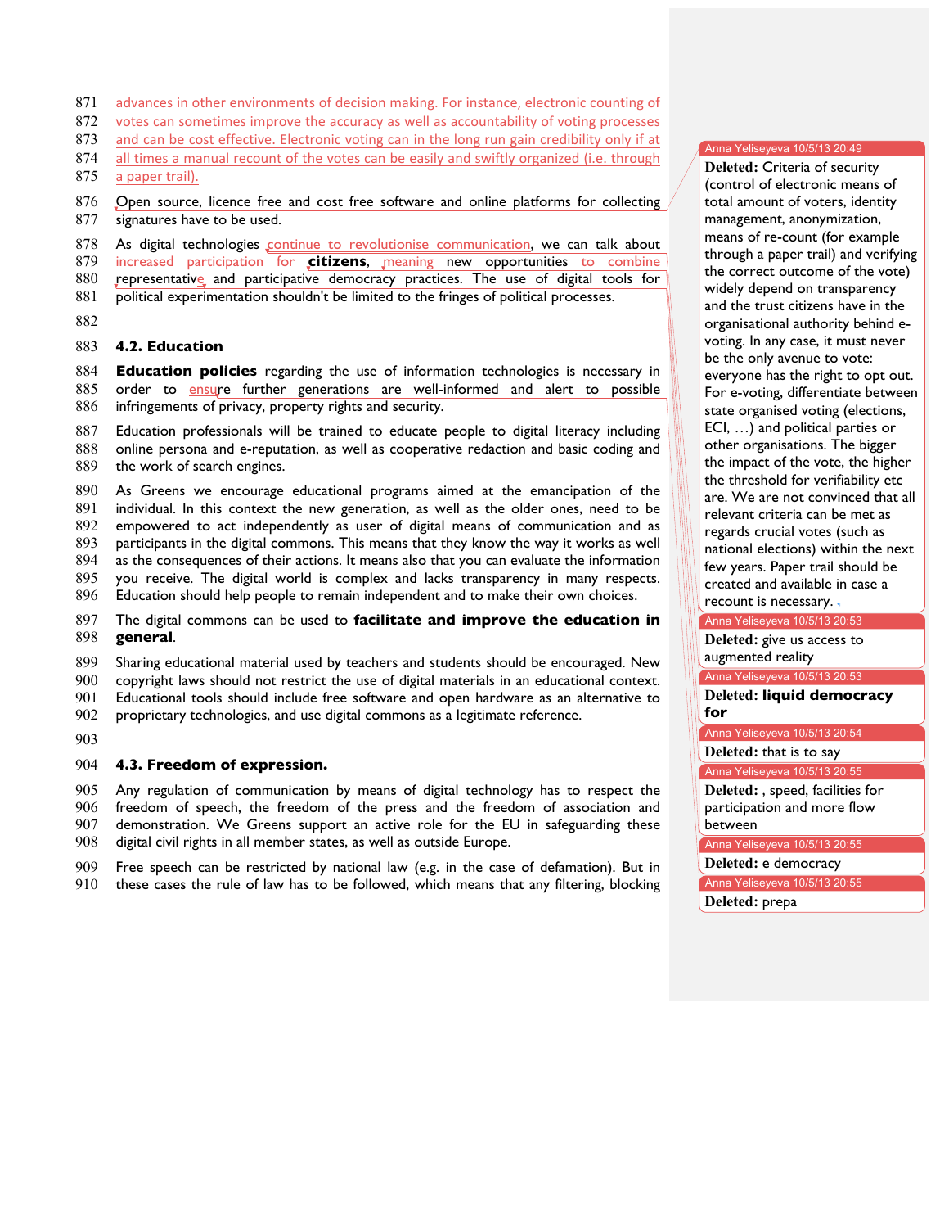- 871 advances in other environments of decision making. For instance, electronic counting of
- 872 votes can sometimes improve the accuracy as well as accountability of voting processes
- 873 and can be cost effective. Electronic voting can in the long run gain credibility only if at
- 874 all times a manual recount of the votes can be easily and swiftly organized (i.e. through
- 875 a paper trail).

## 876 Open source, licence free and cost free software and online platforms for collecting 877 signatures have to be used.

878 As digital technologies continue to revolutionise communication, we can talk about 879 increased participation for **citizens**, meaning new opportunities to combine

- 880 representative and participative democracy practices. The use of digital tools for
- 881 political experimentation shouldn't be limited to the fringes of political processes.
- 882

## 883 **4.2. Education**

884 **Education policies** regarding the use of information technologies is necessary in 885 order to ensure further generations are well-informed and alert to possible 886 infringements of privacy, property rights and security.

887 Education professionals will be trained to educate people to digital literacy including 888 online persona and e-reputation, as well as cooperative redaction and basic coding and

889 the work of search engines.

890 As Greens we encourage educational programs aimed at the emancipation of the 891 individual. In this context the new generation, as well as the older ones, need to be

892 empowered to act independently as user of digital means of communication and as

893 participants in the digital commons. This means that they know the way it works as well

894 as the consequences of their actions. It means also that you can evaluate the information

895 you receive. The digital world is complex and lacks transparency in many respects.

896 Education should help people to remain independent and to make their own choices.

897 The digital commons can be used to **facilitate and improve the education in** 898 **general**.

899 Sharing educational material used by teachers and students should be encouraged. New

900 copyright laws should not restrict the use of digital materials in an educational context.

901 Educational tools should include free software and open hardware as an alternative to

902 proprietary technologies, and use digital commons as a legitimate reference.

903

#### 904 **4.3. Freedom of expression.**

905 Any regulation of communication by means of digital technology has to respect the 906 freedom of speech, the freedom of the press and the freedom of association and 907 demonstration. We Greens support an active role for the EU in safeguarding these

908 digital civil rights in all member states, as well as outside Europe.

909 Free speech can be restricted by national law (e.g. in the case of defamation). But in 910 these cases the rule of law has to be followed, which means that any filtering, blocking

#### Anna Yeliseyeva 10/5/13 20:49

**Deleted: Criteria of security** (control of electronic means of total amount of voters, identity management, anonymization, means of re-count (for example through a paper trail) and verifying the correct outcome of the vote) widely depend on transparency and the trust citizens have in the organisational authority behind evoting. In any case, it must never be the only avenue to vote: everyone has the right to opt out. For e-voting, differentiate between state organised voting (elections, ECI, ...) and political parties or other organisations. The bigger the impact of the vote, the higher the threshold for verifiability etc are. We are not convinced that all relevant criteria can be met as regards crucial votes (such as national elections) within the next few years. Paper trail should be 935 created and available in case a recount is necessary.

## Anna Yeliseyeva 10/5/13 20:53

Deleted: give us access to augmented reality

Anna Yeliseyeva 10/5/13 20:53

939 **Deleted: liquid democracy** 940 **for**

Anna Yeliseyeva 10/5/13 20:54

Deleted: that is to say

Anna Yeliseyeva 10/5/13 20:55

942 **Deleted:** , speed, facilities for participation and more flow between

Anna Yeliseyeva 10/5/13 20:55

945 **Deleted:** e democracy

Anna Yeliseyeva 10/5/13 20:55

946 **Deleted:** prepa